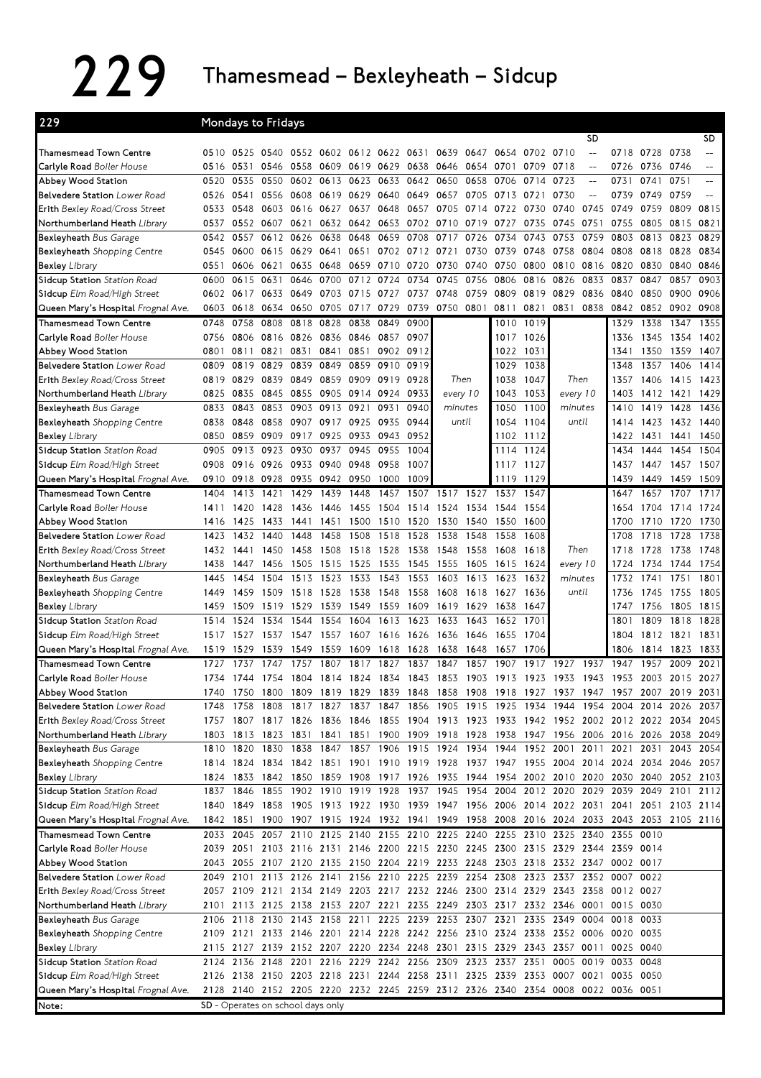## 229 Thamesmead – Bexleyheath – Sidcup

| 229                                                               |              |              | Mondays to Fridays                |                          |           |                |                                         |                   |                                                                            |           |              |              |                               |                   |                                                                                           |                |                   |                          |
|-------------------------------------------------------------------|--------------|--------------|-----------------------------------|--------------------------|-----------|----------------|-----------------------------------------|-------------------|----------------------------------------------------------------------------|-----------|--------------|--------------|-------------------------------|-------------------|-------------------------------------------------------------------------------------------|----------------|-------------------|--------------------------|
|                                                                   |              |              |                                   |                          |           |                |                                         |                   |                                                                            |           |              |              |                               | SD                |                                                                                           |                |                   | SD.                      |
| Thamesmead Town Centre                                            |              |              | 0510 0525 0540                    |                          |           |                | 0552 0602 0612 0622 0631                |                   | 0639                                                                       | 0647      | 0654         | 0702         | 0710                          | $\overline{a}$    |                                                                                           | 0718 0728 0738 |                   | $\overline{\phantom{m}}$ |
| Carlyle Road Boiler House                                         | 0516         | 0531         | 0546                              | 0558                     |           | 0609 0619 0629 |                                         | 0638              | 0646                                                                       |           | 0654 0701    | 0709         | 0718                          | $\qquad \qquad -$ | 0726                                                                                      | 0736 0746      |                   | $-$                      |
| Abbey Wood Station                                                | 0520         | 0535         | 0550                              | 0602                     |           | 0613 0623      | 0633                                    | 0642              | 0650                                                                       | 0658      | 0706         | 0714         | 0723                          | $-\!$             | 0731                                                                                      | 0741           | 0751              | $-$                      |
| Belvedere Station Lower Road                                      | 0526         | 0541         | 0556                              | 0608                     |           | 0619 0629      | 0640                                    | 0649 0657         |                                                                            | 0705      | 0713         | 0721         | 0730                          | $-$               | 0739                                                                                      | 0749           | 0759              |                          |
| Erith Bexley Road/Cross Street                                    | 0533         | 0548         |                                   | 0603 0616                | 0627 0637 |                | 0648                                    | 0657 0705         |                                                                            | 0714      | 0722         | 0730         | 0740                          | 0745              | 0749                                                                                      | 0759           | 0809              | 0815                     |
| Northumberland Heath Library                                      | 0537         | 0552         | 0607                              | 0621                     |           | 0632 0642      | 0653                                    | 0702 0710         |                                                                            | 0719      | 0727         | 0735         | 0745                          | 0751              | 0755                                                                                      | 0805           | 0815              | 0821                     |
| Bexleyheath Bus Garage                                            | 0542         | 0557         | 0612                              | 0626                     | 0638      | 0648           | 0659                                    | 0708              | 0717                                                                       | 0726      | 0734         | 0743         | 0753                          | 0759              | 0803                                                                                      | 0813           | 0823              | 0829                     |
| <b>Bexleyheath</b> Shopping Centre                                | 0545         | 0600         | 0615 0629                         |                          |           | 0641 0651      |                                         | 0702 0712 0721    |                                                                            | 0730      | 0739         | 0748         | 0758                          | 0804              | 0808                                                                                      | 0818 0828      |                   | 0834                     |
| <b>Bexley Library</b>                                             | 0551         | 0606<br>0615 | 0621                              | 0635<br>0646             | 0648      | 0659           | 0710<br>0724                            | 0720 0730<br>0734 | 0745                                                                       | 0740      | 0750 0800    | 0816         | 0810                          |                   | 0816 0820                                                                                 | 0830           | 0840<br>0857      | 0846<br>0903             |
| Sidcup Station Station Road                                       | 0600         |              | 0631                              |                          | 0700      | 0712<br>0715   |                                         |                   | 0748                                                                       | 0756      | 0806         | 0819         | 0826                          | 0833              | 0837                                                                                      | 0847<br>0850   | 0900              |                          |
| Sidcup Elm Road/High Street                                       |              | 0602 0617    | 0633                              | 0649                     | 0703      |                | 0727                                    | 0737              |                                                                            | 0759      | 0809         |              | 0829                          | 0836              | 0840                                                                                      |                |                   | 0906                     |
| Queen Mary's Hospital Frognal Ave.<br>Thamesmead Town Centre      | 0603         | 0618         | 0634                              | 0650                     | 0705      | 0717           | 0729                                    | 0739              | 0750                                                                       | 0801      | 0811         | 0821         | 0831                          | 0838              | 0842                                                                                      |                | 0852 0902         | 0908                     |
|                                                                   | 0748         | 0758         | 0808                              | 0818                     | 0828      | 0838           | 0849                                    | 0900              |                                                                            |           | 1010         | 1019         |                               |                   | 1329                                                                                      | 1338           | 1347              | 1355                     |
| Carlyle Road Boiler House                                         | 0756         | 0806         |                                   | 0816 0826 0836 0846 0857 |           |                |                                         | 0907              |                                                                            |           | 1017         | 1026         |                               |                   | 1336                                                                                      | 1345           | 1354              | 1402                     |
| Abbey Wood Station                                                | 0801         | 0811         | 0821                              | 0831                     |           | 0841 0851      | 0902 0912                               |                   |                                                                            |           | 1022         | 1031         |                               |                   | 1341                                                                                      |                | 1350 1359         | 1407                     |
| Belvedere Station Lower Road                                      | 0809         | 0819         | 0829<br>0839                      | 0839<br>0849             | 0849      | 0859<br>0909   | 0910<br>0919                            | 0919<br>0928      | Then                                                                       |           | 1029<br>1038 | 1038<br>1047 | Then                          |                   | 1348                                                                                      | 1357           | 1406              | 1414<br>1423             |
| Erith Bexley Road/Cross Street                                    | 0819         | 0829         | 0845                              | 0855                     | 0859      | 0905 0914      | 0924                                    | 0933              |                                                                            |           | 1043         |              |                               |                   | 1357                                                                                      | 1406           | 1415              | 1429                     |
| Northumberland Heath Library<br>Bexleyheath Bus Garage            | 0825<br>0833 | 0835<br>0843 | 0853                              | 0903                     | 0913      | 0921           | 0931                                    | 0940              | every 10<br>minutes                                                        |           | 1050         | 1053<br>1100 | every 10<br>minutes           |                   | 1403<br>1410                                                                              | 1419           | 1412 1421<br>1428 | 1436                     |
| Bexleyheath Shopping Centre                                       | 0838         | 0848         | 0858                              | 0907                     | 0917      | 0925           | 0935                                    | 0944              | until                                                                      |           | 1054         | 1104         | until                         |                   | 1414                                                                                      | 1423           | 1432              | 1440                     |
| <b>Bexley Library</b>                                             | 0850         | 0859         | 0909                              | 0917                     |           | 0925 0933      | 0943                                    | 0952              |                                                                            |           |              | 1102 1112    |                               |                   | 1422                                                                                      | 1431           | 1441              | 1450                     |
| Sidcup Station Station Road                                       | 0905         | 0913         | 0923                              | 0930                     | 0937      | 0945           | 0955                                    | 1004              |                                                                            |           |              | 1114 1124    |                               |                   | 1434                                                                                      | 1444           | 1454              | 1504                     |
|                                                                   | 0908         | 0916         | 0926                              | 0933                     | 0940      | 0948           | 0958                                    | 1007              |                                                                            |           | 1117         | 1127         |                               |                   | 1437                                                                                      |                | 1447 1457         | 1507                     |
| Sidcup Elm Road/High Street<br>Queen Mary's Hospital Frognal Ave. | 0910         | 0918         | 0928                              | 0935                     | 0942 0950 |                | 1000                                    | 1009              |                                                                            |           | 1119         | 1129         |                               |                   | 1439                                                                                      | 1449           | 1459              | 1509                     |
| <b>Thamesmead Town Centre</b>                                     | 1404         | 1413         | 1421                              | 1429                     | 1439      | 1448           | 1457                                    | 1507              | 1517                                                                       | 1527      | 1537         | 1547         |                               |                   | 1647                                                                                      | 1657           | 1707              | 1717                     |
| Carlyle Road Boiler House                                         | 1411         | 1420         | 1428                              | 1436                     | 1446      | 1455           | 1504                                    | 1514              | 1524                                                                       | 1534      | 1544         | 1554         |                               |                   | 1654                                                                                      | 1704           | 1714              | 1724                     |
| Abbey Wood Station                                                | 1416         | 1425         | 1433                              | 1441                     | 1451      | 1500           | 1510                                    | 1520              | 1530                                                                       | 1540      | 1550         | 1600         |                               |                   | 1700                                                                                      | 1710           | 1720              | 1730                     |
| Belvedere Station Lower Road                                      | 1423         | 1432         | 1440                              | 1448                     | 1458      | 1508           | 1518                                    | 1528              | 1538                                                                       | 1548      | 1558         | 1608         |                               |                   | 1708                                                                                      | 1718           | 1728              | 1738                     |
| Erith Bexley Road/Cross Street                                    | 1432         | 1441         | 1450                              | 1458                     | 1508      | 1518           | 1528                                    | 1538              | 1548                                                                       |           | 1558 1608    | 1618         | Then                          |                   | 1718                                                                                      | 1728           | 1738              | 1748                     |
| Northumberland Heath Library                                      | 1438         | 1447         | 1456                              | 1505                     | 1515      | 1525           | 1535                                    | 1545              | 1555                                                                       | 1605      | 1615         | 1624         | every 10                      |                   | 1724                                                                                      | 1734           | 1744              | 1754                     |
| <b>Bexleyheath Bus Garage</b>                                     | 1445         | 1454         | 1504                              | 1513                     | 1523      | 1533           | 1543                                    | 1553              | 1603                                                                       | 1613      | 1623         | 1632         | minutes                       |                   | 1732                                                                                      | 1741           | 1751              | 1801                     |
| <b>Bexleyheath</b> Shopping Centre                                | 1449         | 1459         | 1509                              | 1518                     | 1528      | 1538           | 1548                                    | 1558              | 1608                                                                       | 1618      | 1627         | 1636         | until                         |                   | 1736                                                                                      | 1745           | 1755              | 1805                     |
| <b>Bexley Library</b>                                             | 1459         | 1509         | 1519                              | 1529                     | 1539      | 1549           | 1559                                    | 1609              | 1619                                                                       | 1629      | 1638         | 1647         |                               |                   | 1747                                                                                      | 1756           | 1805              | 1815                     |
| Sidcup Station Station Road                                       | 1514         | 1524         | 1534                              | 1544                     | 1554      | 1604           | 1613                                    | 1623              | 1633                                                                       | 1643      | 1652         | 1701         |                               |                   | 1801                                                                                      | 1809           | 1818              | 1828                     |
| Sidcup Elm Road/High Street                                       | 1517         | 1527         | 1537                              | 1547                     | 1557      | 1607           | 1616                                    | 1626              | 1636                                                                       | 1646      | 1655         | 1704         |                               |                   | 1804                                                                                      |                | 1812 1821         | 1831                     |
| Queen Mary's Hospital Frognal Ave.                                | 1519         | 1529         |                                   | 1539 1549                | 1559 1609 |                | 1618                                    | 1628              | 1638                                                                       | 1648      | 1657         | 1706         |                               |                   | 1806                                                                                      |                | 1814 1823         | 1833                     |
| Thamesmead Town Centre                                            | 1727         | 1737         | 1747                              | 1757                     | 1807      | 1817           | 1827                                    | 1837              | 1847                                                                       | 1857      | 1907         | 1917         | 1927                          | 1937              | 1947                                                                                      | 1957           | 2009              | 2021                     |
| Carlyle Road Boiler House                                         | 1734         | 1744         | 1754                              | 1804                     | 1814 1824 |                | 1834                                    | 1843 1853         |                                                                            | 1903      | 1913         | 1923         | 1933                          | 1943              | 1953                                                                                      |                | 2003 2015 2027    |                          |
| Abbey Wood Station                                                | 1740         |              |                                   |                          |           |                | 1750 1800 1809 1819 1829 1839 1848 1858 |                   |                                                                            | 1908 1918 |              | 1927         | 1937 1947 1957                |                   |                                                                                           |                | 2007 2019         | 2031                     |
| Belvedere Station Lower Road                                      | 1748         | 1758         | 1808                              |                          |           |                |                                         |                   |                                                                            |           |              |              |                               |                   | 1817 1827 1837 1847 1856 1905 1915 1925 1934 1944 1954 2004 2014 2026                     |                |                   | 2037                     |
| Erith Bexley Road/Cross Street                                    | 1757         | 1807         |                                   |                          |           |                |                                         |                   |                                                                            |           |              |              |                               |                   | 1817 1826 1836 1846 1855 1904 1913 1923 1933 1942 1952 2002 2012 2022 2034 2045           |                |                   |                          |
| Northumberland Heath Library                                      |              |              |                                   |                          |           |                |                                         |                   |                                                                            |           |              |              |                               |                   | 1803 1813 1823 1831 1841 1851 1900 1909 1918 1928 1938 1947 1956 2006 2016 2026 2038      |                |                   | 2049                     |
| Bexleyheath Bus Garage                                            |              | 1810 1820    | 1830                              | 1838                     |           |                |                                         |                   |                                                                            |           |              |              |                               |                   | 1847 1857 1906 1915 1924 1934 1944 1952 2001 2011 2021 2031                               |                | 2043              | 2054                     |
| <b>Bexleyheath</b> Shopping Centre                                |              | 1814 1824    | 1834                              |                          |           |                | 1842 1851 1901 1910 1919 1928           |                   |                                                                            |           |              |              |                               |                   | 1937 1947 1955 2004 2014 2024 2034 2046                                                   |                |                   | 2057                     |
| <b>Bexley</b> Library                                             |              | 1824 1833    |                                   |                          |           |                | 1842 1850 1859 1908 1917 1926 1935      |                   |                                                                            |           |              |              | 1944 1954 2002 2010 2020 2030 |                   |                                                                                           |                | 2040 2052         | 2103                     |
| Sidcup Station Station Road                                       |              | 1837 1846    |                                   |                          |           |                |                                         |                   |                                                                            |           |              |              |                               |                   | 1855 1902 1910 1919 1928 1937 1945 1954 2004 2012 2020 2029 2039 2049 2101                |                |                   | 2112                     |
| Sidcup Elm Road/High Street                                       |              | 1840 1849    |                                   |                          |           |                |                                         |                   |                                                                            |           |              |              |                               |                   | 1858 1905 1913 1922 1930 1939 1947 1956 2006 2014 2022 2031 2041 2051 2103 2114           |                |                   |                          |
| Queen Mary's Hospital Frognal Ave.                                |              |              |                                   |                          |           |                |                                         |                   |                                                                            |           |              |              |                               |                   | 1842 1851 1900 1907 1915 1924 1932 1941 1949 1958 2008 2016 2024 2033 2043 2053 2105 2116 |                |                   |                          |
| Thamesmead Town Centre                                            |              |              |                                   |                          |           |                |                                         |                   |                                                                            |           |              |              |                               |                   | 2033 2045 2057 2110 2125 2140 2155 2210 2225 2240 2255 2310 2325 2340 2355 0010           |                |                   |                          |
| Carlyle Road Boiler House                                         |              |              |                                   |                          |           |                |                                         |                   |                                                                            |           |              |              |                               |                   | 2039 2051 2103 2116 2131 2146 2200 2215 2230 2245 2300 2315 2329 2344 2359 0014           |                |                   |                          |
| Abbey Wood Station                                                |              |              |                                   |                          |           |                |                                         |                   |                                                                            |           |              |              |                               |                   | 2043 2055 2107 2120 2135 2150 2204 2219 2233 2248 2303 2318 2332 2347 0002 0017           |                |                   |                          |
| Belvedere Station Lower Road                                      |              |              |                                   |                          |           |                |                                         |                   |                                                                            |           |              |              |                               |                   | 2049 2101 2113 2126 2141 2156 2210 2225 2239 2254 2308 2323 2337 2352 0007 0022           |                |                   |                          |
| Erith Bexley Road/Cross Street                                    |              |              |                                   |                          |           |                |                                         |                   | 2057 2109 2121 2134 2149 2203 2217 2232 2246 2300 2314 2329                |           |              |              |                               |                   | 2343 2358 0012 0027                                                                       |                |                   |                          |
| Northumberland Heath Library                                      | 2101         |              | 2113 2125 2138 2153 2207 2221     |                          |           |                |                                         |                   | 2235 2249 2303 2317 2332 2346 0001                                         |           |              |              |                               |                   | 0015 0030                                                                                 |                |                   |                          |
| Bexleyheath Bus Garage                                            |              |              |                                   |                          |           |                |                                         |                   | 2106 2118 2130 2143 2158 2211 2225 2239 2253 2307 2321 2335 2349 0004      |           |              |              |                               |                   | 0018                                                                                      | 0033           |                   |                          |
| <b>Bexleyheath</b> Shopping Centre                                |              |              |                                   |                          |           |                |                                         |                   | 2109 2121 2133 2146 2201 2214 2228 2242 2256 2310 2324 2338 2352 0006 0020 |           |              |              |                               |                   |                                                                                           | 0035           |                   |                          |
| <b>Bexley</b> Library                                             |              |              |                                   |                          |           |                |                                         |                   | 2115 2127 2139 2152 2207 2220 2234 2248 2301 2315 2329 2343 2357 0011      |           |              |              |                               |                   | 0025 0040                                                                                 |                |                   |                          |
| Sidcup Station Station Road                                       |              |              |                                   |                          |           |                |                                         |                   |                                                                            |           |              |              |                               |                   | 2124 2136 2148 2201 2216 2229 2242 2256 2309 2323 2337 2351 0005 0019 0033 0048           |                |                   |                          |
| Sidcup Elm Road/High Street                                       |              |              |                                   |                          |           |                |                                         |                   |                                                                            |           |              |              |                               |                   | 2126 2138 2150 2203 2218 2231 2244 2258 2311 2325 2339 2353 0007 0021 0035 0050           |                |                   |                          |
| Queen Mary's Hospital Frognal Ave.                                |              |              |                                   |                          |           |                |                                         |                   |                                                                            |           |              |              |                               |                   | 2128 2140 2152 2205 2220 2232 2245 2259 2312 2326 2340 2354 0008 0022 0036 0051           |                |                   |                          |
| Note:                                                             |              |              | SD - Operates on school days only |                          |           |                |                                         |                   |                                                                            |           |              |              |                               |                   |                                                                                           |                |                   |                          |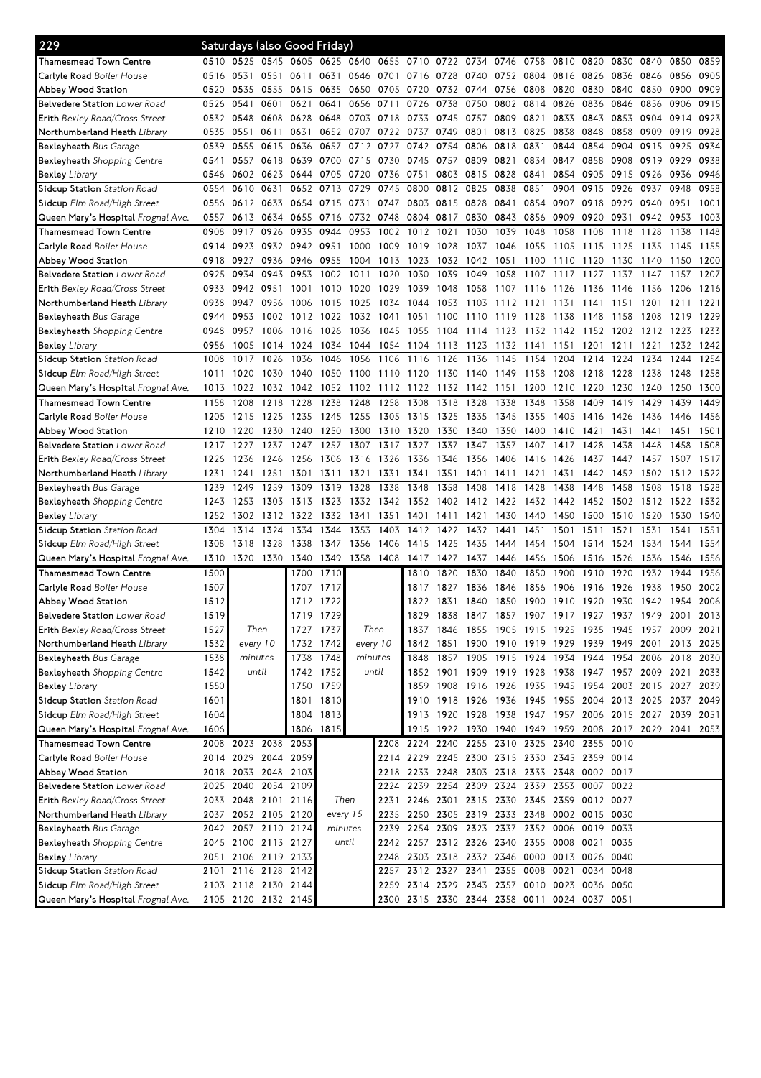| 229                                       |      |                     |           |           | Saturdays (also Good Friday) |           |       |                                              |                                                        |           |                          |      |      |      |                                              |           |                |      |
|-------------------------------------------|------|---------------------|-----------|-----------|------------------------------|-----------|-------|----------------------------------------------|--------------------------------------------------------|-----------|--------------------------|------|------|------|----------------------------------------------|-----------|----------------|------|
| Thamesmead Town Centre                    | 0510 | 0525                | 0545 0605 |           | 0625                         | 0640 0655 |       | 0710 0722                                    |                                                        | 0734      | 0746                     | 0758 | 0810 | 0820 | 0830                                         | 0840      | 0850           | 0859 |
| <b>Carlvle Road</b> Boiler House          | 0516 | 0531                | 0551      | 0611      | 0631                         | 0646      | 0701  | 0716                                         | 0728                                                   | 0740      | 0752                     | 0804 | 0816 | 0826 | 0836                                         | 0846      | 0856           | 0905 |
| Abbey Wood Station                        | 0520 | 0535                | 0555      | 0615      | 0635                         | 0650      | 0705  | 0720                                         | 0732                                                   | 0744      | 0756                     | 0808 | 0820 | 0830 | 0840                                         | 0850      | 0900           | 0909 |
| <b>Belvedere Station</b> Lower Road       | 0526 | 0541                | 0601      | 0621      | 0641                         | 0656      | 0711  | 0726                                         | 0738                                                   | 0750      | 0802                     | 0814 | 0826 | 0836 | 0846                                         | 0856      | 0906           | 0915 |
| Erith Bexley Road/Cross Street            | 0532 | 0548                | 0608      | 0628      | 0648                         | 0703      | 0718  | 0733                                         | 0745                                                   | 0757      | 0809                     | 0821 | 0833 | 0843 | 0853                                         | 0904      | 0914           | 0923 |
| Northumberland Heath <i>Library</i>       | 0535 | 0551                | 0611      | 0631      |                              | 0652 0707 | 0722  | 0737                                         | 0749                                                   | 0801      | 0813                     | 0825 | 0838 | 0848 | 0858                                         | 0909      | 0919           | 0928 |
| Bexleyheath Bus Garage                    | 0539 | 0555                | 0615      | 0636      | 0657                         | 0712      | 0727  | 0742                                         | 0754                                                   | 0806      | 0818                     | 0831 | 0844 | 0854 | 0904                                         | 0915      | 0925           | 0934 |
| <b>Bexleyheath</b> Shopping Centre        | 0541 | 0557                |           | 0618 0639 | 0700                         | 0715      | 0730  | 0745                                         | 0757                                                   | 0809      | 0821                     | 0834 | 0847 | 0858 | 0908                                         | 0919      | 0929           | 0938 |
| <b>Bexley</b> Library                     | 0546 | 0602                | 0623      | 0644      | 0705                         | 0720      | 0736  | 0751                                         | 0803                                                   | 0815      | 0828                     | 0841 | 0854 | 0905 | 0915                                         | 0926      | 0936           | 0946 |
| Sidcup Station Station Road               | 0554 | 0610                | 0631      | 0652      | 0713                         | 0729      | 0745  | 0800                                         | 0812                                                   | 0825      | 0838                     | 0851 | 0904 | 0915 | 0926                                         | 0937      | 0948           | 0958 |
| Sidcup Elm Road/High Street               | 0556 | 0612 0633           |           | 0654      | 0715                         | 0731      | 0747  | 0803                                         | 0815                                                   | 0828      | 0841                     | 0854 | 0907 | 0918 | 0929                                         | 0940      | 0951           | 1001 |
| <b>Queen Mary's Hospital</b> Frognal Ave. | 0557 | 0613                | 0634      | 0655      | 0716                         | 0732      | 0748  | 0804                                         | 0817                                                   | 0830      | 0843                     | 0856 | 0909 | 0920 | 0931                                         | 0942      | 0953           | 1003 |
| <b>Thamesmead Town Centre</b>             | 0908 | 0917                | 0926      | 0935      | 0944                         | 0953      | 1002  | 1012                                         | 1021                                                   | 1030      | 1039                     | 1048 | 1058 | 1108 | 1118                                         | 1128      | 1138           | 1148 |
| <b>Carlyle Road</b> Boiler House          | 0914 | 0923                |           | 0932 0942 | 0951                         | 1000      | 1009  | 1019                                         | 1028                                                   | 1037      | 1046                     | 1055 | 1105 | 1115 | 1125                                         | 1135      | 1145           | 1155 |
| Abbey Wood Station                        | 0918 | 0927                |           | 0936 0946 | 0955                         | 1004      | 1013  | 1023                                         | 1032                                                   | 1042      | 1051                     | 1100 | 1110 | 1120 | 1130                                         | 1140      | 1150           | 1200 |
| <b>Belvedere Station</b> Lower Road       | 0925 | 0934                | 0943      | 0953      | 1002                         | 1011      | 1020  | 1030                                         | 1039                                                   | 1049      | 1058                     | 1107 | 1117 | 1127 | 1137                                         | 1147      | 1157           | 1207 |
| Erith Bexley Road/Cross Street            | 0933 | 0942                | 0951      | 1001      | 1010                         | 1020      | 1029  | 1039                                         | 1048                                                   | 1058      | 1107                     | 1116 | 1126 | 1136 | 1146                                         | 1156      | 1206           | 1216 |
| Northumberland Heath <i>Library</i>       | 0938 | 0947                | 0956      | 1006      | 1015                         | 1025      | 1034  | 1044                                         | 1053                                                   | 1103      | 1112                     | 1121 | 1131 | 1141 | 1151                                         | 1201      | 1211           | 1221 |
| Bexleyheath Bus Garage                    | 0944 | 0953                | 1002      | 1012      |                              | 1022 1032 | 1041  | 1051                                         | 1100                                                   | 1110      | 1119                     | 1128 | 1138 | 1148 | 1158                                         | 1208      | 1219           | 1229 |
| <b>Bexleyheath</b> Shopping Centre        | 0948 | 0957                | 1006      | 1016      | 1026                         | 1036      | 1045  | 1055                                         | -1104                                                  | 1114      | 1123                     | 1132 | 1142 | 1152 | 1202                                         | 1212      | 1223           | 1233 |
| <b>Bexley</b> Library                     | 0956 | 1005                | 1014      | 1024      | 1034                         | 1044      | 1054  | 1104                                         | 1113                                                   | 1123      | 1132                     | 1141 | 1151 | 1201 | 1211                                         | 1221      | 1232           | 1242 |
| Sidcup Station Station Road               | 1008 | 1017                | 1026      | 1036      | 1046                         | 1056      | 1106  | 1116                                         | 1126                                                   | 1136      | 1145                     | 1154 | 1204 | 1214 | 1224                                         | 1234      | 1244           | 1254 |
| Sidcup Elm Road/High Street               | 1011 | 1020                | 1030      | 1040      | 1050                         | 1100      | 1110  | 1120                                         | 1130                                                   | 1140      | 1149                     | 1158 | 1208 | 1218 | 1228                                         | 1238      | 1248           | 1258 |
| Queen Mary's Hospital Frognal Ave.        | 1013 | 1022                | 1032      | 1042      | 1052                         | 1102      | 1112  | 1122                                         | 1132                                                   | 1142      | 1151                     | 1200 | 1210 | 1220 | 1230                                         | 1240      | 1250           | 1300 |
| Thamesmead Town Centre                    | 1158 | 1208                | 1218      | 1228      | 1238                         | 1248      | 1258  | 1308                                         | 1318                                                   | 1328      | 1338                     | 1348 | 1358 | 1409 | 1419                                         | 1429      | 1439           | 1449 |
| <b>Carlyle Road</b> Boiler House          | 1205 | 1215                | 1225      | 1235      | 1245                         | 1255      | 1305  | 1315                                         | 1325                                                   | 1335      | 1345                     | 1355 | 1405 | 1416 | 1426                                         | 1436      | 1446           | 1456 |
| Abbey Wood Station                        | 1210 | 1220                | 1230      | 1240      | 1250                         | 1300      | 1310  | 1320                                         | 1330                                                   | 1340      | 1350                     | 1400 | 1410 | 1421 | 1431                                         | 1441      | 1451           | 1501 |
| Belvedere Station Lower Road              | 1217 | 1227                | 1237      | 1247      | 1257                         | 1307      | 1317  | 1327                                         | 1337                                                   | 1347      | 1357                     | 1407 | 1417 | 1428 | 1438                                         | 1448      | 1458           | 1508 |
| Erith Bexley Road/Cross Street            | 1226 | 1236                | 1246      | 1256      | 1306                         | 1316      | 1326  | 1336                                         | 1346                                                   | 1356      | 1406                     | 1416 | 1426 | 1437 | 1447                                         | 1457      | 1507           | 1517 |
| Northumberland Heath Library              | 1231 | 1241                | 1251      | 1301      | 1311                         | 1321      | 1331  | 1341                                         | 1351                                                   | 1401      | 1411                     | 1421 | 1431 | 1442 | 1452                                         | 1502      | 1512           | 1522 |
| <b>Bexleyheath Bus Garage</b>             | 1239 | 1249                | 1259      | 1309      | 1319                         | 1328      | 1338  | 1348                                         | 1358                                                   | 1408      | 1418                     | 1428 | 1438 | 1448 | 1458                                         | 1508      | 1518           | 1528 |
| Bexleyheath Shopping Centre               | 1243 | 1253                | 1303      | 1313      | 1323                         | 1332      | 1342  | 1352 1402                                    |                                                        | 1412 1422 |                          | 1432 | 1442 | 1452 | 1502                                         | 1512      | 1522           | 1532 |
| <b>Bexley Library</b>                     | 1252 | 1302                | 1312      | 1322      | 1332                         | 1341      | 1351  | 1401                                         | 1411                                                   | 1421      | 1430                     | 1440 | 1450 | 1500 | 1510                                         | 1520      | 1530           | 1540 |
| Sidcup Station Station Road               | 1304 | 1314                | 1324      | 1334      | 1344                         | 1353      | 1403  | 1412                                         | 1422                                                   | 1432      | 1441                     | 1451 | 1501 | 1511 | 1521                                         | 1531      | 1541           | 1551 |
| Sidcup Elm Road/High Street               | 1308 | 1318                | 1328      | 1338      | 1347                         | 1356      | 1406  | 1415                                         | 1425                                                   | 1435      | 1444                     | 1454 | 1504 | 1514 | 1524                                         | 1534      | 1544           | 1554 |
| Queen Mary's Hospital Frognal Ave.        | 1310 | 1320                | 1330      | 1340      | 1349                         | 1358      | 1408  | 1417                                         | 1427                                                   | 1437      | 1446                     | 1456 | 1506 | 1516 | 1526                                         | 1536      | 1546           | 1556 |
| Thamesmead Town Centre                    | 1500 |                     |           | 1700      | 1710                         |           |       | 1810                                         | 1820                                                   | 1830      | 1840                     | 1850 | 1900 | 1910 | 1920                                         | 1932      | 1944           | 1956 |
| <b>Carlyle Road</b> Boiler House          | 1507 |                     |           | 1707      | 1717                         |           |       | 1817                                         | 1827                                                   | 1836      | 1846                     | 1856 | 1906 | 1916 | 1926                                         | 1938      | 1950           | 2002 |
| Abbey Wood Station                        | 1512 |                     |           |           | 1712 1722                    |           |       |                                              | 1822 1831 1840 1850 1900 1910 1920 1930 1942 1954 2006 |           |                          |      |      |      |                                              |           |                |      |
| <b>Belvedere Station</b> Lower Road       | 1519 |                     |           | 1719      | 1729                         |           |       | 1829.                                        | 1838                                                   |           |                          |      |      |      | 1847 1857 1907 1917 1927 1937 1949 2001      |           |                | 2013 |
| Erith Bexley Road/Cross Street            | 1527 | Then                |           |           | 1727 1737                    | Then      |       |                                              | 1837 1846                                              |           |                          |      |      |      | 1855 1905 1915 1925 1935 1945 1957 2009 2021 |           |                |      |
| Northumberland Heath Library              | 1532 | every 10            |           |           | 1732 1742                    | every 10  |       |                                              | 1842 1851                                              |           | 1900 1910 1919 1929 1939 |      |      |      | 1949 2001                                    |           | 2013           | 2025 |
| <b>Bexleyheath</b> Bus Garage             | 1538 | minutes             |           | 1738      | 1748                         | minutes   |       |                                              | 1848 1857                                              |           | 1905 1915 1924           |      | 1934 | 1944 | 1954                                         | 2006 2018 |                | 2030 |
| Bexleyheath Shopping Centre               | 1542 |                     | until     |           | 1742 1752                    |           | until |                                              | 1852 1901 1909 1919 1928 1938 1947 1957 2009 2021      |           |                          |      |      |      |                                              |           |                | 2033 |
| <b>Bexley Library</b>                     | 1550 |                     |           | 1750      | 1759                         |           |       |                                              | 1859 1908 1916 1926 1935 1945 1954                     |           |                          |      |      |      |                                              |           | 2003 2015 2027 | 2039 |
| Sidcup Station Station Road               | 1601 |                     |           | 1801      | 1810                         |           |       |                                              | 1910 1918 1926 1936 1945 1955 2004                     |           |                          |      |      |      | 2013 2025 2037 2049                          |           |                |      |
| Sidcup Elm Road/High Street               | 1604 |                     |           | 1804      | 1813                         |           |       |                                              | 1913 1920 1928 1938 1947 1957 2006 2015 2027 2039 2051 |           |                          |      |      |      |                                              |           |                |      |
| Queen Mary's Hospital Frognal Ave.        | 1606 |                     |           |           | 1806 1815                    |           |       |                                              | 1915 1922 1930 1940 1949 1959 2008 2017 2029 2041      |           |                          |      |      |      |                                              |           |                | 2053 |
| Thamesmead Town Centre                    |      | 2008 2023 2038 2053 |           |           |                              |           |       | 2208 2224 2240 2255 2310 2325 2340 2355      |                                                        |           |                          |      |      |      | 0010                                         |           |                |      |
| Carlyle Road Boiler House                 |      | 2014 2029 2044 2059 |           |           |                              |           |       | 2214 2229 2245 2300 2315 2330 2345 2359 0014 |                                                        |           |                          |      |      |      |                                              |           |                |      |
| Abbey Wood Station                        |      | 2018 2033 2048 2103 |           |           |                              |           |       | 2218 2233 2248 2303 2318 2333 2348 0002 0017 |                                                        |           |                          |      |      |      |                                              |           |                |      |
| Belvedere Station Lower Road              |      | 2025 2040 2054 2109 |           |           |                              |           |       | 2224 2239 2254 2309 2324 2339 2353 0007 0022 |                                                        |           |                          |      |      |      |                                              |           |                |      |
| Erith Bexley Road/Cross Street            |      | 2033 2048 2101 2116 |           |           |                              | Then      | 2231  |                                              | 2246 2301 2315 2330 2345 2359 0012 0027                |           |                          |      |      |      |                                              |           |                |      |
| Northumberland Heath Library              |      | 2037 2052 2105 2120 |           |           | every 15                     |           | 2235  | 2250 2305 2319 2333 2348 0002 0015 0030      |                                                        |           |                          |      |      |      |                                              |           |                |      |
| <b>Bexleyheath</b> Bus Garage             |      | 2042 2057 2110 2124 |           |           | minutes                      |           |       | 2239 2254 2309 2323 2337 2352 0006 0019 0033 |                                                        |           |                          |      |      |      |                                              |           |                |      |
| Bexleyheath Shopping Centre               |      | 2045 2100 2113 2127 |           |           |                              | until     |       | 2242 2257 2312 2326 2340 2355 0008 0021 0035 |                                                        |           |                          |      |      |      |                                              |           |                |      |
| <b>Bexley</b> Library                     | 2051 | 2106 2119 2133      |           |           |                              |           | 2248  | 2303 2318 2332 2346 0000 0013 0026 0040      |                                                        |           |                          |      |      |      |                                              |           |                |      |
| Sidcup Station Station Road               |      | 2101 2116 2128 2142 |           |           |                              |           |       | 2257 2312 2327 2341 2355 0008 0021           |                                                        |           |                          |      |      | 0034 | 0048                                         |           |                |      |
|                                           |      |                     |           |           |                              |           |       |                                              |                                                        |           |                          |      |      |      |                                              |           |                |      |
| Sidcup Elm Road/High Street               |      | 2103 2118 2130 2144 |           |           |                              |           |       | 2259 2314 2329 2343 2357 0010 0023 0036 0050 |                                                        |           |                          |      |      |      |                                              |           |                |      |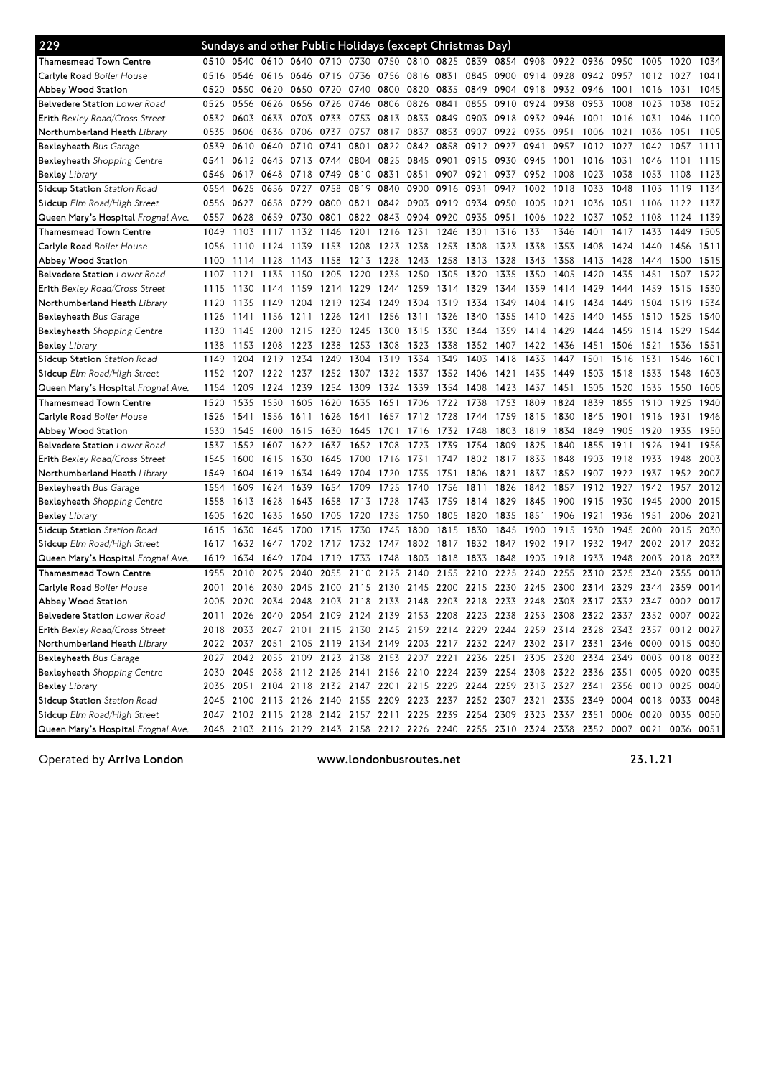| 229                                              |      |      |                |      |      |                |      |           |           | Sundays and other Public Holidays (except Christmas Day) |      |      |                                                                                           |      |                     |      |      |                                                                                           |
|--------------------------------------------------|------|------|----------------|------|------|----------------|------|-----------|-----------|----------------------------------------------------------|------|------|-------------------------------------------------------------------------------------------|------|---------------------|------|------|-------------------------------------------------------------------------------------------|
| Thamesmead Town Centre                           | 0510 |      |                |      |      |                |      |           |           |                                                          |      |      | 0540 0610 0640 0710 0730 0750 0810 0825 0839 0854 0908 0922 0936                          |      | 0950 1005           |      | 1020 | 1034                                                                                      |
| <b>Carlvle Road</b> Boiler House                 | 0516 | 0546 | 0616 0646      |      |      | 0716 0736 0756 |      | 0816 0831 |           | 0845                                                     | 0900 | 0914 | 0928                                                                                      | 0942 | 0957                | 1012 | 1027 | 1041                                                                                      |
| Abbey Wood Station                               | 0520 | 0550 | 0620           | 0650 | 0720 | 0740           | 0800 | 0820      | 0835      | 0849                                                     | 0904 | 0918 | 0932                                                                                      | 0946 | 1001                | 1016 | 1031 | 1045                                                                                      |
| <b>Belvedere Station</b> Lower Road              | 0526 | 0556 | 0626           | 0656 | 0726 | 0746           | 0806 | 0826      | 0841      | 0855                                                     | 0910 | 0924 | 0938                                                                                      | 0953 | 1008                | 1023 | 1038 | 1052                                                                                      |
| <b>Erith</b> Bexley Road/Cross Street            | 0532 | 0603 | 0633           | 0703 | 0733 | 0753           | 0813 | 0833      | 0849      | 0903                                                     | 0918 | 0932 | 0946                                                                                      | 1001 | 1016                | 1031 | 1046 | 1100                                                                                      |
| Northumberland Heath <i>Library</i>              | 0535 | 0606 | 0636           | 0706 | 0737 | 0757           | 0817 | 0837      | 0853      | 0907                                                     | 0922 | 0936 | 0951                                                                                      | 1006 | 1021                | 1036 | 1051 | 1105                                                                                      |
| <b>Bexleyheath</b> Bus Garage                    | 0539 | 0610 | 0640           | 0710 | 0741 | 0801           | 0822 | 0842      | 0858      | 0912                                                     | 0927 | 0941 | 0957                                                                                      | 1012 | 1027                | 1042 | 1057 | 1111                                                                                      |
| <b>Bexleyheath</b> Shopping Centre               | 0541 |      | 0612 0643 0713 |      | 0744 | 0804           | 0825 | 0845      | 0901      | 0915                                                     | 0930 | 0945 | 1001                                                                                      | 1016 | 1031                | 1046 | 1101 | 1115                                                                                      |
| Bexley <i>Library</i>                            | 0546 | 0617 | 0648           | 0718 | 0749 | 0810           | 0831 | 0851      | 0907      | 0921                                                     | 0937 | 0952 | 1008                                                                                      | 1023 | 1038                | 1053 | 1108 | 1123                                                                                      |
| <b>Sidcup Station</b> <i>Station Road</i>        | 0554 | 0625 | 0656           | 0727 | 0758 | 0819           | 0840 | 0900      | 0916      | 0931                                                     | 0947 | 1002 | 1018                                                                                      | 1033 | 1048                | 1103 | 1119 | 1134                                                                                      |
| <b>Sidcup</b> Elm Road/High Street               | 0556 | 0627 | 0658           | 0729 | 0800 | 0821           | 0842 | 0903      | 0919      | 0934                                                     | 0950 | 1005 | 1021                                                                                      | 1036 | 1051                | 1106 | 1122 | 1137                                                                                      |
| <b>Queen Mary's Hospital</b> <i>Frognal Ave.</i> | 0557 | 0628 | 0659           | 0730 | 0801 | 0822           | 0843 | 0904      | 0920      | 0935                                                     | 0951 | 1006 | 1022                                                                                      | 1037 | 1052                | 1108 | 1124 | 1139                                                                                      |
| Thamesmead Town Centre                           | 1049 | 1103 | 1117           | 1132 | 1146 | 1201           | 1216 | 1231      | 1246      | 1301                                                     | 1316 | 1331 | 1346                                                                                      | 1401 | 1417                | 1433 | 1449 | 1505                                                                                      |
| Carlyle Road Boiler House                        | 1056 | 1110 | 1124           | 1139 | 1153 | 1208           | 1223 | 1238      | 1253      | 1308                                                     | 1323 | 1338 | 1353                                                                                      | 1408 | 1424                | 1440 | 1456 | 1511                                                                                      |
| Abbey Wood Station                               | 1100 | 1114 | 1128           | 1143 | 1158 | 1213           | 1228 | 1243      | 1258      | 1313                                                     | 1328 | 1343 | 1358                                                                                      | 1413 | 1428                | 1444 | 1500 | 1515                                                                                      |
| <b>Belvedere Station</b> Lower Road              | 1107 | 1121 | 1135           | 1150 | 1205 | 1220           | 1235 | 1250      | 1305      | 1320                                                     | 1335 | 1350 | 1405                                                                                      | 1420 | 1435                | 1451 | 1507 | 1522                                                                                      |
| <b>Erith</b> Bexley Road/Cross Street            | 1115 | 1130 | 1144           | 1159 | 1214 | 1229           | 1244 | 1259      | 1314      | 1329                                                     | 1344 | 1359 | 1414                                                                                      | 1429 | 1444                | 1459 | 1515 | 1530                                                                                      |
| Northumberland Heath <i>Library</i>              | 1120 | 1135 | 1149           | 1204 | 1219 | 1234           | 1249 | 1304      | 1319      | 1334                                                     | 1349 | 1404 | 1419                                                                                      | 1434 | 1449                | 1504 | 1519 | 1534                                                                                      |
| Bexleyheath Bus Garage                           | 1126 | 1141 | 1156           | 1211 | 1226 | 1241           | 1256 | 1311      | 1326      | 1340                                                     | 1355 | 1410 | 1425                                                                                      | 1440 | 1455                | 1510 | 1525 | 1540                                                                                      |
| <b>Bexleyheath</b> Shopping Centre               | 1130 | 1145 | 1200           | 1215 | 1230 | 1245           | 1300 | 1315      | 1330      | 1344                                                     | 1359 | 1414 | 1429                                                                                      | 1444 | 1459                | 1514 | 1529 | 1544                                                                                      |
| Bexley Library                                   | 1138 | 1153 | 1208           | 1223 | 1238 | 1253           | 1308 | 1323      | 1338      | 1352                                                     | 1407 | 1422 | 1436                                                                                      | 1451 | 1506                | 1521 | 1536 | 1551                                                                                      |
| <b>Sidcup Station</b> <i>Station Road</i>        | 1149 | 1204 | 1219           | 1234 | 1249 | 1304           | 1319 | 1334      | 1349      | 1403                                                     | 1418 | 1433 | 1447                                                                                      | 1501 | 1516                | 1531 | 1546 | 1601                                                                                      |
| <b>Sidcup</b> Elm Road/High Street               | 1152 | 1207 | 1222           | 1237 | 1252 | 1307           | 1322 | 1337      | 1352      | 1406                                                     | 1421 | 1435 | 1449                                                                                      | 1503 | 1518                | 1533 | 1548 | 1603                                                                                      |
| <b>Queen Mary's Hospital</b> <i>Frognal Ave.</i> | 1154 | 1209 | 1224           | 1239 | 1254 | 1309           | 1324 | 1339      | 1354      | 1408                                                     | 1423 | 1437 | 1451                                                                                      | 1505 | 1520                | 1535 | 1550 | 1605                                                                                      |
| Thamesmead Town Centre                           | 1520 | 1535 | 1550           | 1605 | 1620 | 1635           | 1651 | 1706      | 1722      | 1738                                                     | 1753 | 1809 | 1824                                                                                      | 1839 | 1855                | 1910 | 1925 | 1940                                                                                      |
| Carlyle Road Boiler House                        | 1526 | 1541 | 1556           | 1611 | 1626 | 1641           | 1657 | 1712      | 1728      | 1744                                                     | 1759 | 1815 | 1830                                                                                      | 1845 | 1901                | 1916 | 1931 | 1946                                                                                      |
| Abbey Wood Station                               | 1530 | 1545 | 1600           | 1615 | 1630 | 1645           | 1701 | 1716      | 1732      | 1748                                                     | 1803 | 1819 | 1834                                                                                      | 1849 | 1905                | 1920 | 1935 | 1950                                                                                      |
| <b>Belvedere Station</b> Lower Road              | 1537 | 1552 | 1607           | 1622 | 1637 | 1652           | 1708 | 1723      | 1739      | 1754                                                     | 1809 | 1825 | 1840                                                                                      | 1855 | 1911                | 1926 | 1941 | 1956                                                                                      |
| <b>Erith</b> Bexley Road/Cross Street            | 1545 | 1600 | 1615           | 1630 | 1645 | 1700           | 1716 | 1731      | 1747      | 1802                                                     | 1817 | 1833 | 1848                                                                                      | 1903 | 1918                | 1933 | 1948 | 2003                                                                                      |
| Northumberland Heath <i>Library</i>              | 1549 | 1604 | 1619           | 1634 | 1649 | 1704           | 1720 | 1735      | 1751      | 1806                                                     | 1821 | 1837 | 1852                                                                                      | 1907 | 1922                | 1937 | 1952 | 2007                                                                                      |
| <b>Bexleyheath</b> Bus Garage                    | 1554 | 1609 | 1624           | 1639 | 1654 | 1709           | 1725 | 1740      | 1756      | 1811                                                     | 1826 | 1842 | 1857                                                                                      | 1912 | 1927                | 1942 | 1957 | 2012                                                                                      |
| <b>Bexleyheath</b> Shopping Centre               | 1558 | 1613 | 1628           | 1643 | 1658 | 1713           | 1728 | 1743      | 1759      | 1814                                                     | 1829 | 1845 | 1900                                                                                      | 1915 | 1930                | 1945 | 2000 | 2015                                                                                      |
| Bexley <i>Library</i>                            | 1605 | 1620 | 1635           | 1650 | 1705 | 1720           | 1735 | 1750      | 1805      | 1820                                                     | 1835 | 1851 | 1906                                                                                      | 1921 | 1936                | 1951 | 2006 | 2021                                                                                      |
| Sidcup Station Station Road                      | 1615 | 1630 | 1645           | 1700 | 1715 | 1730           | 1745 | 1800      | 1815      | 1830                                                     | 1845 | 1900 | 1915                                                                                      | 1930 | 1945                | 2000 | 2015 | 2030                                                                                      |
| Sidcup Elm Road/High Street                      | 1617 | 1632 | 1647           | 1702 | 1717 | 1732           | 1747 | 1802 1817 |           | 1832                                                     | 1847 | 1902 | 1917                                                                                      | 1932 | 1947                | 2002 | 2017 | 2032                                                                                      |
| <b>Queen Mary's Hospital</b> <i>Frognal Ave.</i> | 1619 | 1634 | 1649           | 1704 | 1719 | 1733           | 1748 | 1803      | 1818      | 1833                                                     | 1848 | 1903 | 1918                                                                                      | 1933 | 1948                | 2003 | 2018 | 2033                                                                                      |
| Thamesmead Town Centre                           | 1955 | 2010 | 2025           | 2040 | 2055 | 2110           | 2125 | 2140      | 2155      | 2210                                                     | 2225 | 2240 | 2255                                                                                      | 2310 | 2325                | 2340 | 2355 | 0010                                                                                      |
| <b>Carlvle Road</b> Boiler House                 | 2001 | 2016 | 2030           | 2045 | 2100 | 2115           | 2130 | 2145      | 2200      | 2215                                                     | 2230 | 2245 | 2300                                                                                      | 2314 | 2329                | 2344 | 2359 | 0014                                                                                      |
| Abbey Wood Station                               | 2005 | 2020 | 2034 2048      |      | 2103 | 2118           | 2133 | 2148      | 2203 2218 |                                                          | 2233 | 2248 | 2303                                                                                      | 2317 | 2332 2347           |      | 0002 | 0017                                                                                      |
| Belvedere Station Lower Road                     |      |      |                |      |      |                |      |           |           |                                                          |      |      | 2011 2026 2040 2054 2109 2124 2139 2153 2208 2223 2238 2253 2308 2322 2337 2352 0007 0022 |      |                     |      |      |                                                                                           |
| <b>Erith</b> Bexley Road/Cross Street            |      |      |                |      |      |                |      |           |           |                                                          |      |      | 2018 2033 2047 2101 2115 2130 2145 2159 2214 2229 2244 2259 2314 2328 2343 2357 0012 0027 |      |                     |      |      |                                                                                           |
| Northumberland Heath <i>Library</i>              |      |      |                |      |      |                |      |           |           |                                                          |      |      | 2022 2037 2051 2105 2119 2134 2149 2203 2217 2232 2247 2302 2317 2331 2346 0000 0015 0030 |      |                     |      |      |                                                                                           |
| Bexleyheath Bus Garage                           |      |      |                |      |      |                |      |           |           |                                                          |      |      | 2027 2042 2055 2109 2123 2138 2153 2207 2221 2236 2251 2305 2320 2334 2349 0003 0018 0033 |      |                     |      |      |                                                                                           |
| <b>Bexleyheath</b> Shopping Centre               |      |      |                |      |      |                |      |           |           |                                                          |      |      | 2030 2045 2058 2112 2126 2141 2156 2210 2224 2239 2254 2308 2322 2336 2351 0005 0020 0035 |      |                     |      |      |                                                                                           |
| Bexley <i>Library</i>                            |      |      |                |      |      |                |      |           |           |                                                          |      |      | 2036 2051 2104 2118 2132 2147 2201 2215 2229 2244 2259 2313 2327 2341 2356 0010 0025 0040 |      |                     |      |      |                                                                                           |
| Sidcup Station Station Road                      |      |      |                |      |      |                |      |           |           |                                                          |      |      | 2045 2100 2113 2126 2140 2155 2209 2223 2237 2252 2307 2321 2335 2349                     |      | 0004 0018 0033 0048 |      |      |                                                                                           |
| Sidcup Elm Road/High Street                      |      |      |                |      |      |                |      |           |           |                                                          |      |      | 2047 2102 2115 2128 2142 2157 2211 2225 2239 2254 2309 2323 2337 2351 0006 0020 0035 0050 |      |                     |      |      |                                                                                           |
|                                                  |      |      |                |      |      |                |      |           |           |                                                          |      |      |                                                                                           |      |                     |      |      | 2048 2103 2116 2129 2143 2158 2212 2226 2240 2255 2310 2324 2338 2352 0007 0021 0036 0051 |
| Queen Mary's Hospital Frognal Ave.               |      |      |                |      |      |                |      |           |           |                                                          |      |      |                                                                                           |      |                     |      |      |                                                                                           |

Operated by Arriva London

www.londonbusroutes.net 23.1.21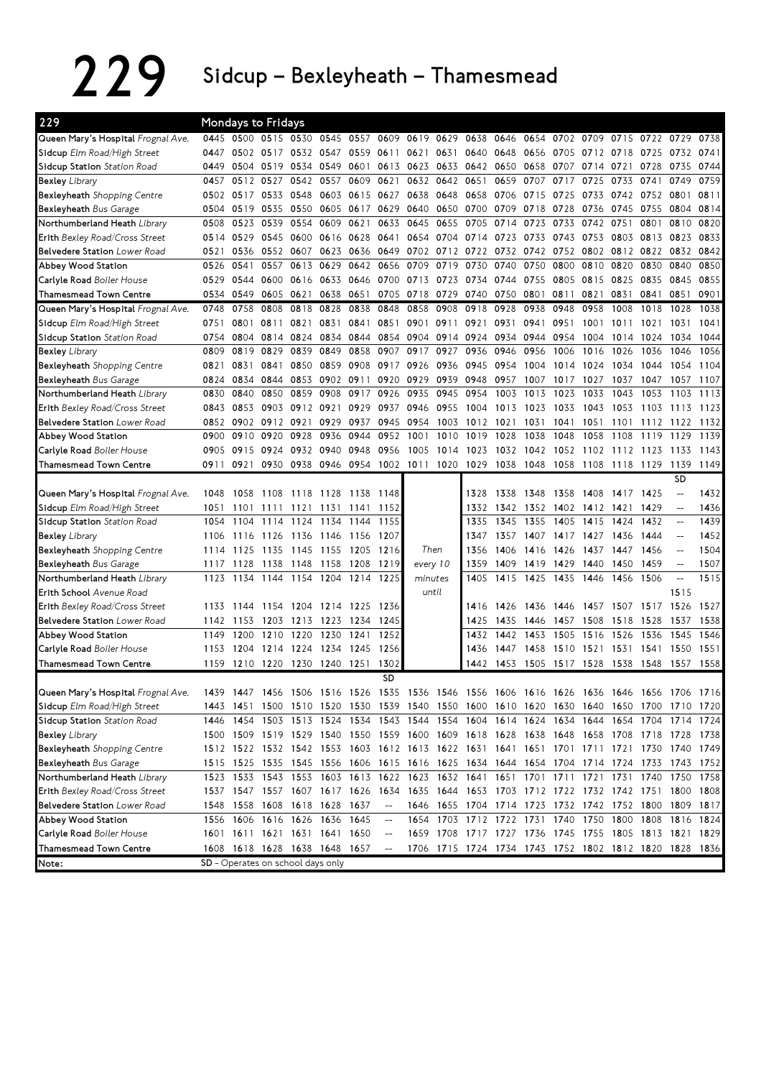229 Sidcup – Bexleyheath – Thamesmead

| 229                                   |      |           | <b>Mondays to Fridays</b>     |           |                                   |                |                                    |           |                |                                                                                           |      |           |                |      |                               |      |                          |      |
|---------------------------------------|------|-----------|-------------------------------|-----------|-----------------------------------|----------------|------------------------------------|-----------|----------------|-------------------------------------------------------------------------------------------|------|-----------|----------------|------|-------------------------------|------|--------------------------|------|
| Queen Mary's Hospital Frognal Ave.    | 0445 |           | 0500 0515 0530                |           |                                   | 0545 0557 0609 |                                    |           | 0619 0629 0638 |                                                                                           | 0646 |           |                |      | 0654 0702 0709 0715 0722 0729 |      |                          | 0738 |
| Sidcup Elm Road/High Street           | 0447 |           | 0502 0517 0532                |           | 0547                              | 0559 0611      |                                    | 0621      | 0631           | 0640                                                                                      | 0648 | 0656      | 0705           | 0712 | 0718                          | 0725 | 0732                     | 0741 |
| Sidcup Station Station Road           | 0449 | 0504      | 0519 0534                     |           | 0549                              | 0601           | 0613                               |           |                | 0623 0633 0642 0650                                                                       |      | 0658      | 0707           | 0714 | 0721                          | 0728 | 0735                     | 0744 |
| Bexley Library                        | 0457 | 0512      | 0527                          | 0542      | 0557                              | 0609           | 0621                               |           | 0632 0642      | 0651                                                                                      | 0659 | 0707      | 0717           | 0725 | 0733                          | 0741 | 0749                     | 0759 |
| Bexleyheath Shopping Centre           | 0502 | 0517      |                               | 0533 0548 | 0603                              | 0615           | 0627                               | 0638      | 0648           | 0658                                                                                      | 0706 | 0715      | 0725           | 0733 | 0742                          | 0752 | 0801                     | 0811 |
| <b>Bexleyheath Bus Garage</b>         | 0504 | 0519      |                               | 0535 0550 | 0605                              | 0617           | 0629                               | 0640      | 0650           | 0700                                                                                      | 0709 | 0718      | 0728           | 0736 | 0745                          | 0755 | 0804                     | 0814 |
| Northumberland Heath Library          | 0508 | 0523      | 0539                          | 0554      | 0609                              | 0621           | 0633                               | 0645      | 0655           | 0705                                                                                      | 0714 | 0723      | 0733           | 0742 | 0751                          | 0801 | 0810                     | 0820 |
| Erith Bexley Road/Cross Street        | 0514 | 0529      | 0545 0600                     |           | 0616 0628                         |                | 0641                               | 0654      | 0704 0714      |                                                                                           | 0723 | 0733      | 0743           | 0753 | 0803                          | 0813 | 0823                     | 0833 |
| <b>Belvedere Station</b> Lower Road   | 0521 | 0536      | 0552 0607                     |           | 0623                              | 0636 0649      |                                    | 0702      | 0712           | 0722                                                                                      | 0732 | 0742      | 0752           | 0802 | 0812 0822                     |      | 0832                     | 0842 |
| Abbey Wood Station                    | 0526 | 0541      | 0557                          | 0613      | 0629                              | 0642           | 0656                               | 0709      | 0719           | 0730                                                                                      | 0740 | 0750      | 0800           | 0810 | 0820                          | 0830 | 0840                     | 0850 |
| Carlyle Road Boiler House             | 0529 | 0544      | 0600 0616                     |           | 0633                              | 0646           | 0700                               | 0713 0723 |                | 0734                                                                                      | 0744 | 0755      | 0805           | 0815 | 0825                          | 0835 | 0845                     | 0855 |
| Thamesmead Town Centre                | 0534 | 0549      | 0605 0621                     |           | 0638                              | 0651           | 0705                               | 0718 0729 |                | 0740                                                                                      | 0750 | 0801      | 0811           | 0821 | 0831                          | 0841 | 0851                     | 0901 |
| Queen Mary's Hospital Frognal Ave.    | 0748 | 0758      | 0808                          | 0818      | 0828                              | 0838           | 0848                               | 0858      | 0908           | 0918                                                                                      | 0928 | 0938      | 0948           | 0958 | 1008                          | 1018 | 1028                     | 1038 |
| Sidcup Elm Road/High Street           | 0751 | 0801      | 0811                          | 0821      | 0831                              | 0841           | 0851                               | 0901 0911 |                | 0921                                                                                      | 0931 | 0941      | 0951           | 1001 | 1011                          | 1021 | 1031                     | 1041 |
| Sidcup Station Station Road           | 0754 | 0804      | 0814 0824                     |           | 0834                              | 0844           | 0854                               | 0904      | 0914 0924      |                                                                                           | 0934 | 0944      | 0954           | 1004 | 1014                          | 1024 | 1034                     | 1044 |
| <b>Bexley Library</b>                 | 0809 | 0819      | 0829                          | 0839      | 0849                              | 0858           | 0907                               | 0917      | 0927           | 0936                                                                                      | 0946 | 0956      | 1006           | 1016 | 1026                          | 1036 | 1046                     | 1056 |
| <b>Bexleyheath</b> Shopping Centre    | 0821 | 0831      | 0841                          | 0850      | 0859                              | 0908 0917      |                                    |           | 0926 0936      | 0945                                                                                      | 0954 | 1004      | 1014           | 1024 | 1034                          | 1044 | 1054                     | 1104 |
| Bexleyheath Bus Garage                | 0824 | 0834      | 0844                          | 0853      | 0902 0911                         |                | 0920                               | 0929      | 0939           | 0948                                                                                      | 0957 | 1007      | 1017           | 1027 | 1037                          | 1047 | 1057                     | 1107 |
| Northumberland Heath Library          | 0830 | 0840      | 0850                          | 0859      | 0908                              | 0917           | 0926                               | 0935      | 0945           | 0954                                                                                      | 1003 | 1013      | 1023           | 1033 | 1043                          | 1053 | 1103                     | 1113 |
| <b>Erith</b> Bexley Road/Cross Street | 0843 | 0853      |                               | 0903 0912 | 0921                              | 0929           | 0937                               | 0946 0955 |                | 1004                                                                                      | 1013 | 1023      | 1033           | 1043 | 1053                          | 1103 | 1113                     | 1123 |
| <b>Belvedere Station</b> Lower Road   | 0852 | 0902      | 0912 0921                     |           | 0929                              | 0937           | 0945                               | 0954      | 1003           | 1012                                                                                      | 1021 | 1031      | 1041           | 1051 | 1101                          | 1112 | 1122                     | 1132 |
| Abbey Wood Station                    | 0900 | 0910      | 0920                          | 0928      | 0936                              | 0944           | 0952                               | 1001      | 1010           | 1019                                                                                      | 1028 | 1038      | 1048           | 1058 | 1108                          | 1119 | 1129                     | 1139 |
| Carlyle Road Boiler House             | 0905 | 0915      | 0924 0932                     |           | 0940                              | 0948           | 0956                               | 1005      | 1014           | 1023                                                                                      | 1032 | 1042      | 1052           | 1102 | 1112 1123                     |      | 1133                     | 1143 |
| Thamesmead Town Centre                | 0911 | 0921      | 0930 0938                     |           | 0946                              |                | 0954 1002 1011 1020                |           |                | 1029                                                                                      | 1038 | 1048      | 1058           |      | 1108 1118 1129                |      | 1139                     | 1149 |
|                                       |      |           |                               |           |                                   |                |                                    |           |                |                                                                                           |      |           |                |      |                               |      | <b>SD</b>                |      |
| Queen Mary's Hospital Frognal Ave.    | 1048 | 1058      | 1108 1118                     |           | 1128                              | 1138           | 1148                               |           |                | 1328                                                                                      | 1338 | 1348      | 1358           | 1408 | 1417 1425                     |      | $\overline{a}$           | 1432 |
| Sidcup Elm Road/High Street           | 1051 | 1101      | 1111                          | 1121      | 1131                              | 1141           | 1152                               |           |                | 1332                                                                                      | 1342 | 1352      | 1402 1412 1421 |      |                               | 1429 | $\qquad \qquad -$        | 1436 |
| Sidcup Station Station Road           | 1054 | 1104      | 1114                          | 1124      | 1134                              | 1144           | 1155                               |           |                | 1335                                                                                      | 1345 | 1355      | 1405           | 1415 | 1424                          | 1432 | $\qquad \qquad -$        | 1439 |
| <b>Bexley Library</b>                 | 1106 | 1116      | 1126                          | 1136      | 1146                              | 1156           | 1207                               |           |                | 1347                                                                                      | 1357 | 1407      | 1417           | 1427 | 1436                          | 1444 | $-$                      | 1452 |
| <b>Bexleyheath</b> Shopping Centre    | 1114 | 1125      | 1135                          | 1145      | 1155                              | 1205           | 1216                               | Then      |                | 1356                                                                                      | 1406 | 1416      | 1426           | 1437 | 1447                          | 1456 | $-$                      | 1504 |
| <b>Bexleyheath</b> Bus Garage         | 1117 | 1128      | 1138                          | 1148      | 1158                              | 1208           | 1219                               | every 10  |                | 1359                                                                                      | 1409 | 1419      | 1429           | 1440 | 1450                          | 1459 | $\overline{\phantom{a}}$ | 1507 |
| Northumberland Heath <i>Library</i>   | 1123 | 1134      | 1144                          | 1154      | 1204                              | 1214           | 1225                               | minutes   |                | 1405                                                                                      | 1415 | 1425      | 1435           | 1446 | 1456                          | 1506 | $\overline{\phantom{0}}$ | 1515 |
| Erith School Avenue Road              |      |           |                               |           |                                   |                |                                    | until     |                |                                                                                           |      |           |                |      |                               |      | 1515                     |      |
| <b>Erith</b> Bexley Road/Cross Street | 1133 | 1144      |                               | 1154 1204 | 1214 1225                         |                | 1236                               |           |                | 1416                                                                                      | 1426 | 1436      | 1446           | 1457 | 1507 1517                     |      | 1526                     | 1527 |
| Belvedere Station Lower Road          | 1142 | 1153      |                               | 1203 1213 |                                   | 1223 1234      | 1245                               |           |                | 1425                                                                                      | 1435 | 1446      | 1457           | 1508 | 1518                          | 1528 | 1537                     | 1538 |
| Abbey Wood Station                    | 1149 | 1200      | 1210 1220                     |           | 1230                              | 1241           | 1252                               |           |                | 1432                                                                                      | 1442 | 1453      | 1505           | 1516 | 1526                          | 1536 | 1545                     | 1546 |
| <b>Carlyle Road</b> Boiler House      | 1153 | 1204      | 1214 1224                     |           | 1234 1245                         |                | 1256                               |           |                | 1436                                                                                      | 1447 | 1458      | 1510           | 1521 | 1531 1541                     |      | 1550                     | 1551 |
| <b>Thamesmead Town Centre</b>         | 1159 | 1210      | 1220                          | 1230      | 1240 1251                         |                | 1302                               |           |                | 1442                                                                                      | 1453 | 1505 1517 |                | 1528 | 1538 1548                     |      | 1557                     | 1558 |
|                                       |      |           |                               |           |                                   |                | <b>SD</b>                          |           |                |                                                                                           |      |           |                |      |                               |      |                          |      |
| Queen Mary's Hospital Frognal Ave.    |      |           |                               |           |                                   |                |                                    |           |                | 1439 1447 1456 1506 1516 1526 1535 1536 1546 1556 1606 1616 1626 1636 1646 1656 1706 1716 |      |           |                |      |                               |      |                          |      |
| Sidcup Elm Road/High Street           |      | 1443 1451 |                               |           |                                   |                |                                    |           |                | 1500 1510 1520 1530 1539 1540 1550 1600 1610 1620 1630 1640 1650 1700 1710 1720           |      |           |                |      |                               |      |                          |      |
| Sidcup Station Station Road           |      |           |                               |           |                                   |                |                                    |           |                | 1446 1454 1503 1513 1524 1534 1543 1544 1554 1604 1614 1624 1634 1644 1654 1704 1714 1724 |      |           |                |      |                               |      |                          |      |
| <b>Bexley</b> Library                 |      |           |                               |           |                                   |                |                                    |           |                | 1500 1509 1519 1529 1540 1550 1559 1600 1609 1618 1628 1638 1648 1658 1708 1718 1728 1738 |      |           |                |      |                               |      |                          |      |
| <b>Bexleyheath</b> Shopping Centre    |      |           |                               |           |                                   |                |                                    |           |                | 1512 1522 1532 1542 1553 1603 1612 1613 1622 1631 1641 1651 1701 1711 1721 1730 1740 1749 |      |           |                |      |                               |      |                          |      |
| <b>Bexleyheath</b> Bus Garage         |      |           |                               |           |                                   |                |                                    |           |                | 1515 1525 1535 1545 1556 1606 1615 1616 1625 1634 1644 1654 1704 1714 1724 1733           |      |           |                |      |                               |      | 1743 1752                |      |
| Northumberland Heath Library          |      |           |                               |           |                                   |                |                                    |           |                | 1523 1533 1543 1553 1603 1613 1622 1623 1632 1641 1651 1701 1711 1721 1731 1740           |      |           |                |      |                               |      | 1750                     | 1758 |
| Erith Bexley Road/Cross Street        |      |           |                               |           |                                   |                |                                    |           |                | 1537 1547 1557 1607 1617 1626 1634 1635 1644 1653 1703 1712 1722 1732 1742 1751 1800 1808 |      |           |                |      |                               |      |                          |      |
| <b>Belvedere Station</b> Lower Road   |      |           | 1548 1558 1608 1618 1628 1637 |           |                                   |                | $\hspace{0.05cm} -\hspace{0.05cm}$ |           |                | 1646 1655 1704 1714 1723 1732 1742 1752 1800 1809 1817                                    |      |           |                |      |                               |      |                          |      |
| Abbey Wood Station                    |      |           | 1556 1606 1616 1626 1636 1645 |           |                                   |                | $-\!$                              |           |                | 1654 1703 1712 1722 1731 1740 1750 1800 1808                                              |      |           |                |      |                               |      | 1816 1824                |      |
| Carlyle Road Boiler House             |      |           | 1601 1611 1621 1631 1641 1650 |           |                                   |                | $-\!$                              |           |                | 1659 1708 1717 1727 1736 1745 1755 1805 1813 1821 1829                                    |      |           |                |      |                               |      |                          |      |
| Thamesmead Town Centre                |      |           | 1608 1618 1628 1638 1648 1657 |           |                                   |                |                                    |           |                | 1706 1715 1724 1734 1743 1752 1802 1812 1820 1828 1836                                    |      |           |                |      |                               |      |                          |      |
| Note:                                 |      |           |                               |           | SD - Operates on school days only |                |                                    |           |                |                                                                                           |      |           |                |      |                               |      |                          |      |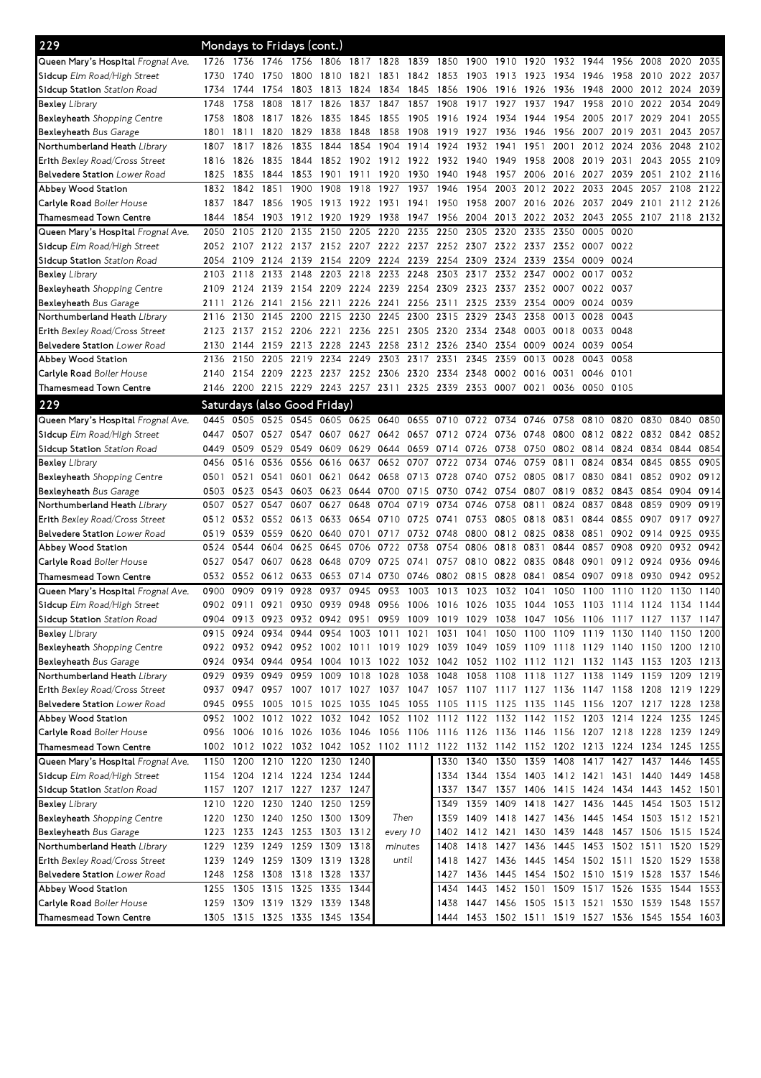| 229                                       | Mondays to Fridays (cont.)   |           |                |                               |                |                |                                                                                           |           |                |                                                   |                     |                |                                              |                          |                |                     |           |           |
|-------------------------------------------|------------------------------|-----------|----------------|-------------------------------|----------------|----------------|-------------------------------------------------------------------------------------------|-----------|----------------|---------------------------------------------------|---------------------|----------------|----------------------------------------------|--------------------------|----------------|---------------------|-----------|-----------|
| Queen Mary's Hospital <i>Frognal Ave.</i> | 1726                         | 1736      | 1746           | 1756                          | 1806           | 1817 1828      |                                                                                           | 1839 1850 |                | 1900                                              | 1910                | 1920           | 1932                                         | 1944                     | 1956           | 2008                | 2020      | 2035      |
| <b>Sidcup</b> Elm Road/High Street        | 1730                         | 1740      | 1750           | 1800                          | 1810           | 1821           | 1831                                                                                      | 1842 1853 |                | 1903                                              | 1913                | 1923           | 1934                                         | 1946                     | 1958 2010      |                     | 2022      | 2037      |
| Sidcup Station <i>Station Road</i>        | 1734                         | 1744      | 1754           | 1803                          | 1813           | 1824           | 1834                                                                                      | 1845      | 1856           | 1906                                              | 1916                | 1926           | 1936                                         | 1948                     | 2000           | 2012                | 2024      | 2039      |
| Bexley <i>Library</i>                     | 1748                         | 1758      | 1808           | 1817                          | 1826           | 1837           | 1847                                                                                      | 1857      | 1908           | 1917                                              | 1927                | 1937           | 1947                                         | 1958                     | 2010           | 2022                | 2034      | 2049      |
| Bexleyheath Shopping Centre               | 1758                         | 1808      | 1817 1826      |                               | 1835           | 1845           | 1855                                                                                      |           | 1905 1916 1924 |                                                   | 1934 1944           |                | 1954                                         | 2005                     | 2017 2029      |                     | 2041      | 2055      |
| <b>Bexleyheath</b> Bus Garage             | 1801                         | 1811      | 1820           | 1829                          | 1838           | 1848           | 1858                                                                                      | 1908      | 1919           | 1927                                              | 1936                | 1946           | 1956                                         | 2007                     | 2019           | 2031                | 2043      | 2057      |
| Northumberland Heath <i>Library</i>       | 1807                         | 1817      | 1826           | 1835                          | 1844           | 1854           | 1904                                                                                      | 1914      | 1924           | 1932                                              | 1941                | 1951           | 2001                                         | 2012                     | 2024           | 2036                | 2048      | 2102      |
| <b>Erith</b> Bexley Road/Cross Street     | 1816                         | 1826      | 1835           | 1844                          | 1852           |                | 1902 1912                                                                                 | 1922 1932 |                | 1940                                              | 1949                | 1958           | 2008                                         | 2019                     | 2031           | 2043                | 2055      | 2109      |
| Belvedere Station <i>Lower Road</i>       | 1825                         | 1835      | 1844           | 1853                          | 1901           | 1911           | 1920                                                                                      | 1930      | 1940           | 1948                                              | 1957                | 2006           | 2016                                         | 2027                     | 2039           | 2051                | 2102      | 2116      |
| Abbey Wood Station                        | 1832                         | 1842      | 1851           | 1900                          | 1908           | 1918           | 1927                                                                                      | 1937      | 1946           | 1954                                              | 2003                | 2012           | 2022                                         | 2033                     | 2045           | 2057                | 2108      | 2122      |
| <b>Carlyle Road</b> Boiler House          | 1837                         | 1847      | 1856           | 1905                          | 1913           | 1922 1931      |                                                                                           | 1941      | 1950           | 1958                                              | 2007 2016 2026      |                |                                              | 2037                     | 2049 2101      |                     |           | 2112 2126 |
| Thamesmead Town Centre                    | 1844                         | 1854      | 1903 1912      |                               | 1920           | 1929           | 1938                                                                                      | 1947      | 1956 2004      |                                                   | 2013                | 2022 2032      |                                              | 2043                     |                | 2055 2107 2118 2132 |           |           |
| Queen Mary's Hospital Frognal Ave.        | 2050                         | 2105      | 2120           | 2135                          | 2150           | 2205           | 2220                                                                                      | 2235      | 2250           | 2305                                              | 2320                | 2335           | 2350                                         | 0005                     | 0020           |                     |           |           |
| <b>Sidcup</b> Elm Road/High Street        | 2052                         | 2107      | 2122 2137      |                               |                |                | 2152 2207 2222                                                                            | 2237      |                | 2252 2307                                         | 2322                | 2337           | 2352                                         | 0007                     | 0022           |                     |           |           |
| Sidcup Station <i>Station Road</i>        | 2054                         | 2109      | 2124 2139      |                               | 2154 2209      |                | 2224                                                                                      | 2239      | 2254 2309      |                                                   | 2324 2339           |                | 2354                                         | 0009                     | 0024           |                     |           |           |
| Bexley <i>Library</i>                     | 2103                         | 2118      | 2133 2148      |                               | 2203           | 2218           | 2233                                                                                      | 2248      |                | 2303 2317                                         | 2332                | 2347           | 0002                                         | 0017                     | 0032           |                     |           |           |
| <b>Bexleyheath</b> Shopping Centre        | 2109                         | 2124      | 2139           | 2154                          | 2209           | 2224 2239      |                                                                                           | 2254      | 2309           | 2323                                              | 2337                | 2352           | 0007                                         | 0022                     | 0037           |                     |           |           |
| <b>Bexleyheath</b> Bus Garage             | 2111                         | 2126      | 2141           | 2156                          | 2211           | 2226 2241      |                                                                                           | 2256      | 2311           | 2325                                              | 2339                | 2354           | 0009                                         | 0024                     | 0039           |                     |           |           |
| Northumberland Heath <i>Library</i>       | 2116                         | 2130      | 2145           | 2200                          | 2215           | 2230           | 2245                                                                                      | 2300      | 2315           | 2329                                              | 2343                | 2358           | 0013                                         | 0028                     | 0043           |                     |           |           |
| <b>Erith</b> Bexley Road/Cross Street     | 2123                         | 2137      | 2152 2206      |                               | 2221           |                | 2236 2251                                                                                 |           | 2305 2320      | 2334                                              | 2348                | 0003           | 0018                                         | 0033                     | 0048           |                     |           |           |
| <b>Belvedere Station</b> Lower Road       | 2130                         | 2144      | 2159 2213      |                               | 2228           | 2243 2258      |                                                                                           |           | 2312 2326 2340 |                                                   | 2354                | 0009           | 0024                                         | 0039                     | 0054           |                     |           |           |
| Abbey Wood Station                        | 2136                         | 2150      | 2205           | 2219                          | 2234           | 2249           | 2303                                                                                      | 2317      | 2331           | 2345                                              | 2359                | 0013           | 0028                                         | 0043                     | 0058           |                     |           |           |
| <b>Carlyle Road</b> Boiler House          | 2140                         | 2154      | 2209 2223      |                               | 2237 2252 2306 |                |                                                                                           | 2320      | 2334 2348      |                                                   | 0002                | 0016 0031      |                                              | 0046                     | 0101           |                     |           |           |
| Thamesmead Town Centre                    | 2146                         |           |                |                               |                |                | 2200 2215 2229 2243 2257 2311 2325 2339 2353 0007 0021                                    |           |                |                                                   |                     |                | 0036                                         | 0050 0105                |                |                     |           |           |
| 229                                       | Saturdays (also Good Friday) |           |                |                               |                |                |                                                                                           |           |                |                                                   |                     |                |                                              |                          |                |                     |           |           |
| Queen Mary's Hospital Frognal Ave.        | 0445                         | 0505      | 0525           | 0545                          | 0605 0625 0640 |                |                                                                                           | 0655      |                | 0710 0722 0734                                    |                     | 0746           | 0758                                         | 0810                     | 0820           | 0830                | 0840      | 0850      |
| <b>Sidcup</b> Elm Road/High Street        | 0447                         | 0507      | 0527 0547      |                               | 0607 0627      |                | 0642                                                                                      |           |                | 0657 0712 0724 0736 0748 0800                     |                     |                |                                              |                          | 0812 0822 0832 |                     | 0842      | 0852      |
| Sidcup Station <i>Station Road</i>        | 0449                         | 0509      | 0529           | 0549                          |                |                | 0609 0629 0644                                                                            |           | 0659 0714 0726 |                                                   | 0738                |                | 0750 0802 0814 0824 0834                     |                          |                |                     | 0844      | 0854      |
| Bexley <i>Library</i>                     | 0456                         | 0516      | 0536           | 0556                          | 0616           | 0637           | 0652                                                                                      | 0707      | 0722           | 0734                                              | 0746                | 0759           | 0811                                         | 0824                     | 0834           | 0845                | 0855      | 0905      |
| <b>Bexleyheath</b> Shopping Centre        | 0501                         | 0521      | 0541           | 0601                          | 0621           |                | 0642 0658                                                                                 | 0713      | 0728           | 0740                                              | 0752                |                | 0805 0817                                    | 0830                     | 0841           | 0852                | 0902      | 0912      |
| <b>Bexleyheath</b> Bus Garage             | 0503                         | 0523      | 0543 0603      |                               | 0623 0644 0700 |                |                                                                                           | 0715 0730 |                | 0742 0754                                         |                     | 0807           | 0819                                         |                          | 0832 0843      | 0854                | 0904      | 0914      |
| Northumberland Heath <i>Library</i>       | 0507                         | 0527      | 0547           | 0607                          | 0627           | 0648           | 0704                                                                                      | 0719      | 0734           | 0746                                              | 0758                | 0811           | 0824                                         | 0837                     | 0848           | 0859                | 0909      | 0919      |
| <b>Erith</b> Bexley Road/Cross Street     | 0512                         | 0532      | 0552 0613      |                               | 0633           |                | 0654 0710                                                                                 | 0725      | 0741           | 0753                                              | 0805                | 0818 0831      |                                              | 0844                     | 0855 0907      |                     | 0917      | 0927      |
| Belvedere Station Lower Road              | 0519                         | 0539      | 0559 0620      |                               |                | 0640 0701 0717 |                                                                                           | 0732 0748 |                | 0800                                              |                     | 0812 0825 0838 |                                              | 0851                     |                | 0902 0914           | 0925      | 0935      |
| Abbey Wood Station                        | 0524                         | 0544      | 0604           | 0625                          | 0645           | 0706           | 0722                                                                                      | 0738      | 0754           | 0806                                              | 0818                | 0831           | 0844                                         | 0857                     | 0908           | 0920                | 0932      | 0942      |
| <b>Carlyle Road</b> Boiler House          | 0527                         | 0547      | 0607           | 0628                          | 0648           | 0709           | 0725                                                                                      | 0741      | 0757           | 0810                                              | 0822                | 0835           | 0848                                         | 0901                     | 0912 0924      |                     | 0936      | 0946      |
| Thamesmead Town Centre                    | 0532                         | 0552      | 0612           | 0633                          | 0653           | 0714           | 0730                                                                                      | 0746      | 0802           | 0815                                              | 0828                | 0841           | 0854                                         | 0907                     | 0918           | 0930                | 0942      | 0952      |
| Queen Mary's Hospital <i>Frognal Ave.</i> | 0900                         | 0909      | 0919           | 0928                          | 0937           | 0945           | 0953                                                                                      | 1003      | 1013           | 1023                                              | 1032                | 1041           | 1050                                         | 1100                     | 1110           | 1120                | 1130      | 1140      |
| Sidcup Elm Road/High Street               | 0902 0911                    |           | 0921           | 0930                          | 0939           | 0948           | 0956                                                                                      |           | 1006 1016 1026 |                                                   | 1035                | 1044           | 1053                                         | 1103                     | 1114 1124      |                     | 1134      | 1144      |
| Sidcup Station <i>Station Road</i>        |                              |           |                |                               |                |                | 0904 0913 0923 0932 0942 0951 0959 1009 1019 1029 1038 1047 1056 1106 1117 1127 1137 1147 |           |                |                                                   |                     |                |                                              |                          |                |                     |           |           |
| Bexley Library                            | 0915                         | 0924      | 0934 0944      |                               |                | 0954 1003 1011 |                                                                                           | 1021      | 1031           | 1041                                              |                     |                | 1050 1100 1109 1119 1130 1140                |                          |                |                     | 1150      | 1200      |
| <b>Bexleyheath</b> Shopping Centre        |                              |           |                |                               |                |                | 0922 0932 0942 0952 1002 1011 1019 1029 1039 1049 1059 1109 1118 1129 1140 1150 1200 1210 |           |                |                                                   |                     |                |                                              |                          |                |                     |           |           |
| <b>Bexleyheath</b> Bus Garage             | 0924                         |           | 0934 0944 0954 |                               |                |                | 1004 1013 1022 1032 1042 1052 1102 1112 1121 1132 1143 1153                               |           |                |                                                   |                     |                |                                              |                          |                |                     | 1203 1213 |           |
| Northumberland Heath <i>Library</i>       | 0929                         | 0939      | 0949 0959      |                               |                | 1009 1018 1028 |                                                                                           | 1038 1048 |                |                                                   |                     |                | 1058 1108 1118 1127 1138                     |                          | 1149 1159      |                     | 1209      | 1219      |
| Erith Bexley Road/Cross Street            |                              | 0937 0947 |                |                               |                |                | 0957 1007 1017 1027 1037 1047 1057 1107 1117 1127 1136 1147 1158 1208                     |           |                |                                                   |                     |                |                                              |                          |                |                     | 1219 1229 |           |
| Belvedere Station Lower Road              | 0945                         | 0955      | 1005 1015      |                               | 1025 1035      |                | 1045                                                                                      |           |                | 1055 1105 1115 1125 1135 1145 1156 1207 1217 1228 |                     |                |                                              |                          |                |                     |           | 1238      |
| Abbey Wood Station                        | 0952                         | 1002      | 1012 1022      |                               |                | 1032 1042      |                                                                                           |           |                | 1052 1102 1112 1122 1132 1142 1152 1203           |                     |                |                                              |                          | 1214 1224      |                     | 1235      | 1245      |
| Carlyle Road Boiler House                 |                              |           |                |                               |                |                | 0956 1006 1016 1026 1036 1046 1056 1106 1116 1126 1136 1146 1156 1207 1218 1228 1239 1249 |           |                |                                                   |                     |                |                                              |                          |                |                     |           |           |
| Thamesmead Town Centre                    |                              |           |                |                               |                |                | 1002 1012 1022 1032 1042 1052 1102 1112 1122 1132 1142 1152 1202 1213 1224 1234 1245 1255 |           |                |                                                   |                     |                |                                              |                          |                |                     |           |           |
| Queen Mary's Hospital Frognal Ave.        |                              |           |                | 1150 1200 1210 1220 1230 1240 |                |                |                                                                                           |           | 1330           |                                                   |                     |                | 1340 1350 1359 1408 1417 1427 1437 1446      |                          |                |                     |           | 1455      |
| <b>Sidcup</b> Elm Road/High Street        | 1154                         |           |                | 1204 1214 1224 1234 1244      |                |                |                                                                                           |           | 1334           | 1344                                              |                     |                | 1354 1403 1412 1421                          |                          | 1431 1440      |                     | 1449      | 1458      |
| Sidcup Station Station Road               | 1157                         |           |                | 1207 1217 1227 1237 1247      |                |                |                                                                                           |           | 1337           |                                                   |                     |                | 1347 1357 1406 1415 1424 1434 1443 1452 1501 |                          |                |                     |           |           |
| Bexley Library                            |                              |           |                | 1210 1220 1230 1240 1250 1259 |                |                |                                                                                           |           | 1349           |                                                   |                     |                | 1359 1409 1418 1427 1436 1445 1454 1503 1512 |                          |                |                     |           |           |
| Bexleyheath Shopping Centre               | 1220                         | 1230      |                | 1240 1250 1300 1309           |                |                | Then                                                                                      |           | 1359           |                                                   | 1409 1418 1427 1436 |                |                                              | 1445 1454 1503           |                |                     | 1512 1521 |           |
| <b>Bexleyheath</b> Bus Garage             | 1223                         |           |                | 1233 1243 1253 1303 1312      |                |                | every 10                                                                                  |           | 1402           |                                                   | 1412 1421           |                | 1430 1439 1448 1457 1506                     |                          |                |                     | 1515 1524 |           |
| Northumberland Heath Library              | 1229                         |           |                | 1239 1249 1259 1309 1318      |                |                | minutes                                                                                   |           | 1408           | 1418                                              | 1427                |                | 1436 1445                                    | 1453 1502 1511 1520 1529 |                |                     |           |           |
| <b>Erith</b> Bexley Road/Cross Street     | 1239 1249                    |           |                | 1259 1309 1319 1328           |                |                |                                                                                           | until     | 1418           |                                                   | 1427 1436           |                | 1445 1454 1502 1511 1520                     |                          |                |                     | 1529 1538 |           |
| Belvedere Station Lower Road              | 1248                         |           |                | 1258 1308 1318 1328 1337      |                |                |                                                                                           |           | 1427           | 1436                                              |                     |                | 1445 1454 1502 1510 1519 1528                |                          |                |                     | 1537 1546 |           |
| Abbey Wood Station                        | 1255                         |           |                | 1305 1315 1325 1335 1344      |                |                |                                                                                           |           | 1434           | 1443                                              |                     |                | 1452 1501 1509 1517 1526 1535                |                          |                |                     | 1544      | 1553      |
| <b>Carlyle Road</b> Boiler House          |                              |           |                | 1259 1309 1319 1329 1339 1348 |                |                |                                                                                           |           | 1438           |                                                   |                     |                | 1447 1456 1505 1513 1521 1530 1539           |                          |                |                     | 1548 1557 |           |
| Thamesmead Town Centre                    |                              |           |                | 1305 1315 1325 1335 1345 1354 |                |                |                                                                                           |           | 1444           |                                                   |                     |                | 1453 1502 1511 1519 1527 1536 1545 1554 1603 |                          |                |                     |           |           |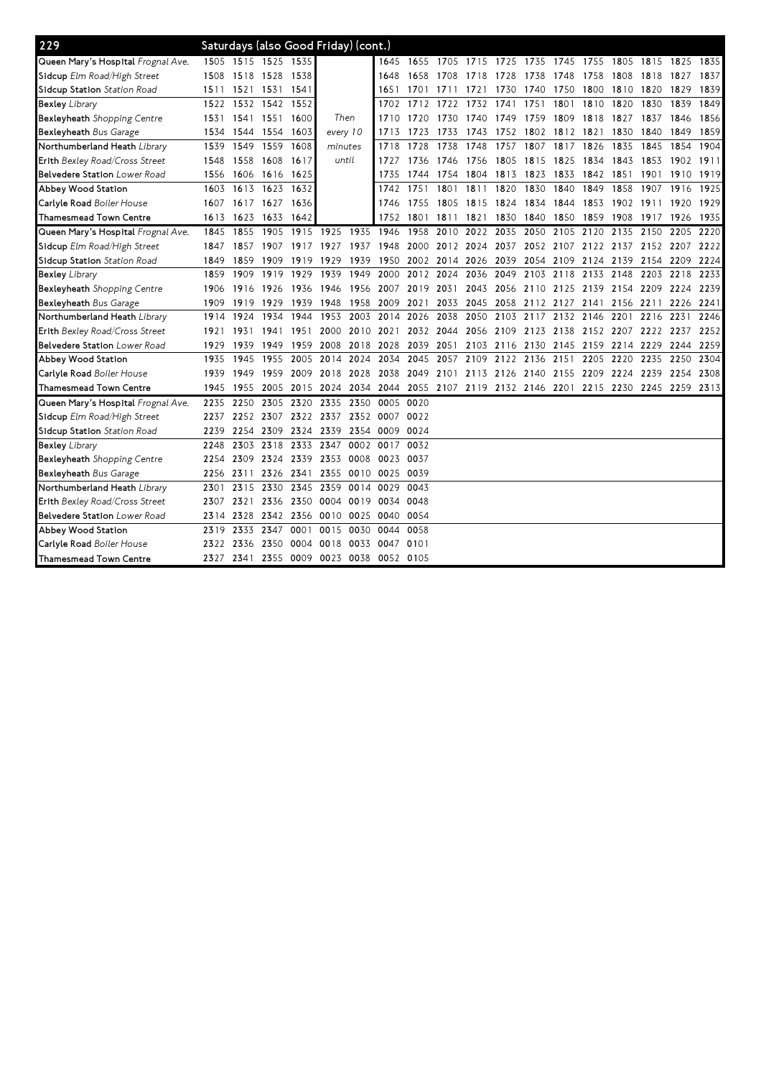| 229                                 |           |      |                     |           | Saturdays (also Good Friday) (cont.) |                |                                                                  |                |      |                     |                                              |           |           |      |           |                               |           |           |
|-------------------------------------|-----------|------|---------------------|-----------|--------------------------------------|----------------|------------------------------------------------------------------|----------------|------|---------------------|----------------------------------------------|-----------|-----------|------|-----------|-------------------------------|-----------|-----------|
| Queen Mary's Hospital Frognal Ave.  |           |      | 1505 1515 1525 1535 |           |                                      |                | 1645                                                             |                |      |                     | 1655 1705 1715 1725 1735 1745 1755 1805 1815 |           |           |      |           |                               | 1825      | 1835      |
| Sidcup Elm Road/High Street         | 1508      | 1518 | 1528 1538           |           |                                      |                | 1648                                                             | 1658           | 1708 | 1718                | 1728                                         | 1738 1748 |           | 1758 | 1808      | 1818                          | 1827      | 1837      |
| Sidcup Station <i>Station Road</i>  | 1511      | 1521 | 1531 1541           |           |                                      |                | 1651                                                             | 1701           | 1711 | 1721                | 1730                                         | 1740 1750 |           | 1800 | 1810 1820 |                               | 1829      | 1839      |
| Bexley <i>Library</i>               | 1522      | 1532 | 1542                | 1552      |                                      |                | 1702                                                             | 1712           | 1722 | 1732                | 1741                                         | 1751      | 1801      | 1810 | 1820      | 1830                          | 1839      | 1849      |
| Bexleyheath Shopping Centre         | 1531      | 1541 | 1551 1600           |           | Then                                 |                | 1710                                                             | 1720           | 1730 | 1740                | 1749                                         | 1759      | 1809      | 1818 | 1827      | 1837                          | 1846      | 1856      |
| Bexleyheath Bus Garage              | 1534      | 1544 | 1554 1603           |           | every 10                             |                | 1713                                                             | 1723           | 1733 | 1743                | 1752                                         | 1802      | 1812      | 1821 | 1830      | 1840                          | 1849      | 1859      |
| Northumberland Heath <i>Library</i> | 1539      | 1549 | 1559                | 1608      | minutes                              |                | 1718                                                             | 1728           | 1738 | 1748                | 1757                                         | 1807      | 1817      | 1826 | 1835      | 1845                          | 1854      | 1904      |
| Erith Bexley Road/Cross Street      | 1548      | 1558 | 1608 1617           |           | until                                |                | 1727                                                             | 1736           | 1746 | 1756                | 1805                                         | 1815      | 1825      | 1834 | 1843 1853 |                               | 1902 1911 |           |
| <b>Belvedere Station</b> Lower Road | 1556      | 1606 | 1616 1625           |           |                                      |                | 1735                                                             | 1744 1754      |      | 1804                | 1813                                         | 1823      | 1833      | 1842 | 1851      | 1901                          |           | 1910 1919 |
| Abbey Wood Station                  | 1603      | 1613 | 1623                | 1632      |                                      |                | 1742                                                             | 1751           | 1801 | 1811                | 1820                                         | 1830      | 1840      | 1849 | 1858      | 1907                          | 1916      | 1925      |
| Carlyle Road <i>Boiler House</i>    | 1607      | 1617 | 1627 1636           |           |                                      |                | 1746                                                             | 1755           | 1805 | 1815                | 1824                                         | 1834 1844 |           | 1853 | 1902 1911 |                               | 1920      | 1929      |
| Thamesmead Town Centre              | 1613      | 1623 | 1633 1642           |           |                                      |                | 1752                                                             | 1801           | 1811 | 1821                | 1830                                         | 1840      | 1850 1859 |      | 1908      | 1917                          | 1926      | 1935      |
| Queen Mary's Hospital Frognal Ave.  | 1845      | 1855 | 1905                | 1915      | 1925                                 | 1935           | 1946                                                             | 1958           | 2010 | 2022                | 2035                                         | 2050      | 2105      | 2120 | 2135      | 2150                          | 2205      | 2220      |
| Sidcup Elm Road/High Street         | 1847      | 1857 | 1907 1917           |           | 1927                                 | 1937           | 1948                                                             | 2000 2012 2024 |      |                     | 2037                                         |           |           |      |           | 2052 2107 2122 2137 2152 2207 |           | 2222      |
| Sidcup Station <i>Station Road</i>  | 1849      | 1859 | 1909                | 1919      | 1929                                 | 1939           | 1950                                                             |                |      | 2002 2014 2026 2039 |                                              |           | 2054 2109 | 2124 | 2139      | 2154                          | 2209      | 2224      |
| <b>Bexley Library</b>               | 1859      | 1909 | 1919                | 1929      | 1939                                 | 1949           | 2000                                                             | 2012           | 2024 | 2036                | 2049                                         | 2103      | 2118      | 2133 | 2148      | 2203                          | 2218      | 2233      |
| Bexleyheath Shopping Centre         | 1906      | 1916 | 1926                | 1936      | 1946                                 | 1956           | 2007                                                             | 2019           | 2031 | 2043 2056           |                                              | 2110 2125 |           | 2139 | 2154 2209 |                               | 2224      | 2239      |
| Bexleyheath Bus Garage              | 1909      | 1919 | 1929                | 1939      | 1948                                 | 1958           | 2009                                                             | 2021           | 2033 | 2045 2058           |                                              | 2112 2127 |           | 2141 | 2156 2211 |                               | 2226 2241 |           |
| Northumberland Heath Library        | 1914      | 1924 | 1934                | 1944      | 1953                                 | 2003           | 2014                                                             | 2026           | 2038 | 2050                | 2103                                         | 2117      | 2132      | 2146 | 2201      | 2216                          | 2231      | 2246      |
| Erith Bexley Road/Cross Street      | 1921      | 1931 | 1941                | 1951      |                                      | 2000 2010 2021 |                                                                  | 2032 2044      |      | 2056 2109           |                                              | 2123 2138 |           | 2152 | 2207 2222 |                               | 2237      | 2252      |
| Belvedere Station Lower Road        | 1929      | 1939 | 1949                | 1959      | 2008                                 | 2018 2028      |                                                                  | 2039           | 2051 |                     | 2103 2116 2130 2145 2159                     |           |           |      | 2214 2229 |                               | 2244 2259 |           |
| Abbey Wood Station                  | 1935      | 1945 | 1955                | 2005      | 2014 2024                            |                | 2034                                                             | 2045           | 2057 |                     | 2109 2122                                    | 2136      | 2151      | 2205 | 2220      | 2235                          | 2250      | 2304      |
| Carlyle Road Boiler House           | 1939      | 1949 | 1959 2009           |           |                                      | 2018 2028 2038 |                                                                  | 2049           |      |                     | 2101 2113 2126 2140 2155 2209 2224 2239      |           |           |      |           |                               | 2254 2308 |           |
| Thamesmead Town Centre              | 1945      | 1955 |                     | 2005 2015 | 2024                                 |                | 2034 2044 2055 2107 2119 2132 2146 2201 2215 2230 2245 2259 2313 |                |      |                     |                                              |           |           |      |           |                               |           |           |
| Queen Mary's Hospital Frognal Ave.  | 2235      | 2250 | 2305                | 2320      | 2335                                 | 2350           | 0005                                                             | 0020           |      |                     |                                              |           |           |      |           |                               |           |           |
| Sidcup Elm Road/High Street         | 2237      | 2252 | 2307 2322           |           | 2337                                 |                | 2352 0007                                                        | 0022           |      |                     |                                              |           |           |      |           |                               |           |           |
| Sidcup Station Station Road         | 2239      | 2254 | 2309                | 2324      | 2339                                 | 2354           | 0009                                                             | 0024           |      |                     |                                              |           |           |      |           |                               |           |           |
| Bexley Library                      | 2248      | 2303 | 2318                | 2333      | 2347                                 | 0002           | 0017                                                             | 0032           |      |                     |                                              |           |           |      |           |                               |           |           |
| Bexleyheath Shopping Centre         | 2254      | 2309 | 2324 2339           |           | 2353                                 | 0008           | 0023                                                             | 0037           |      |                     |                                              |           |           |      |           |                               |           |           |
| Bexleyheath Bus Garage              | 2256      | 2311 | 2326                | 2341      | 2355                                 | 0010 0025      |                                                                  | 0039           |      |                     |                                              |           |           |      |           |                               |           |           |
| Northumberland Heath <i>Library</i> | 2301      | 2315 | 2330                | 2345      | 2359                                 | 0014           | 0029                                                             | 0043           |      |                     |                                              |           |           |      |           |                               |           |           |
| Erith Bexley Road/Cross Street      | 2307      | 2321 | 2336                | 2350      | 0004                                 | 0019           | 0034                                                             | 0048           |      |                     |                                              |           |           |      |           |                               |           |           |
| Belvedere Station Lower Road        | 2314      | 2328 | 2342                | 2356      | 0010                                 | 0025           | 0040                                                             | 0054           |      |                     |                                              |           |           |      |           |                               |           |           |
| Abbey Wood Station                  | 2319      | 2333 | 2347                | 0001      | 0015                                 | 0030           | 0044                                                             | 0058           |      |                     |                                              |           |           |      |           |                               |           |           |
| Carlyle Road <i>Boiler House</i>    | 2322      | 2336 | 2350                | 0004      | 0018                                 | 0033           | 0047                                                             | 0101           |      |                     |                                              |           |           |      |           |                               |           |           |
| Thamesmead Town Centre              | 2327 2341 |      |                     | 2355 0009 |                                      |                | 0023 0038 0052 0105                                              |                |      |                     |                                              |           |           |      |           |                               |           |           |